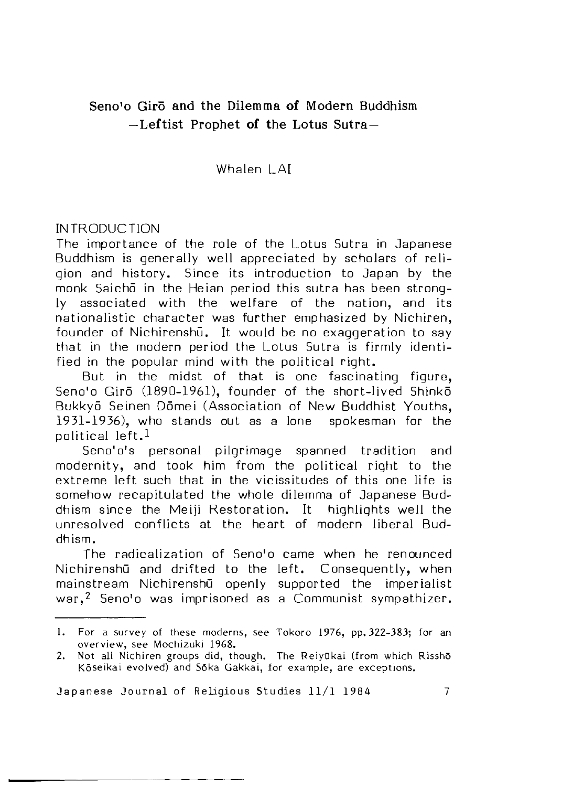# **Seno!o Giro and the Dilemma of Modern Buddhism —L eftist Prophet of the Lotus Sutra—**

## Whalen | AI

## INTRODUCTION

The importance of the role of the Lotus Sutra in Japanese Buddhism is generally well appreciated by scholars of religion and history. Since its introduction to Japan by the monk Saicho in the Heian period this sutra has been strongly associated with the welfare of the nation, and its nationalistic character was further emphasized by Nichiren, founder of Nichirenshu. It would be no exaggeration to say that in the modern period the Lotus Sutra is firmly identified in the popular mind with the political right.

But in the midst of that is one fascinating figure. Seno'o Girō (1890-1961), founder of the short-lived Shinko Bukkyō Seinen Dōmei (Association of New Buddhist Youths, 1931-1936), who stands out as a lone spokesman for the political left. $<sup>1</sup>$ </sup>

Seno'o's personal pilgrimage spanned tradition and modernity, and took him from the political right to the extreme left such that in the vicissitudes of this one life is somehow recapitulated the whole dilemma *of* Japanese Buddhism since the Meiji Restoration. It highlights well the unresolved conflicts at the heart of modern liberal Buddhism.

The radicalization of Seno'o came when he renounced Nichirenshū and drifted to the left. Consequently, when mainstream NichirenshG openly supported the imperialist war.<sup>2</sup> Seno'o was imprisoned as a Communist sympathizer.

L. For a survey of these moderns, see Tokoro 1976, pp. 322-383; for an overview, see Mochizuki 1968.

<sup>2.</sup> Not all Nichiren groups did, though. The Reiyūkai (from which Rissho Kōseikai evolved) and Sōka Gakkai, for example, are exceptions.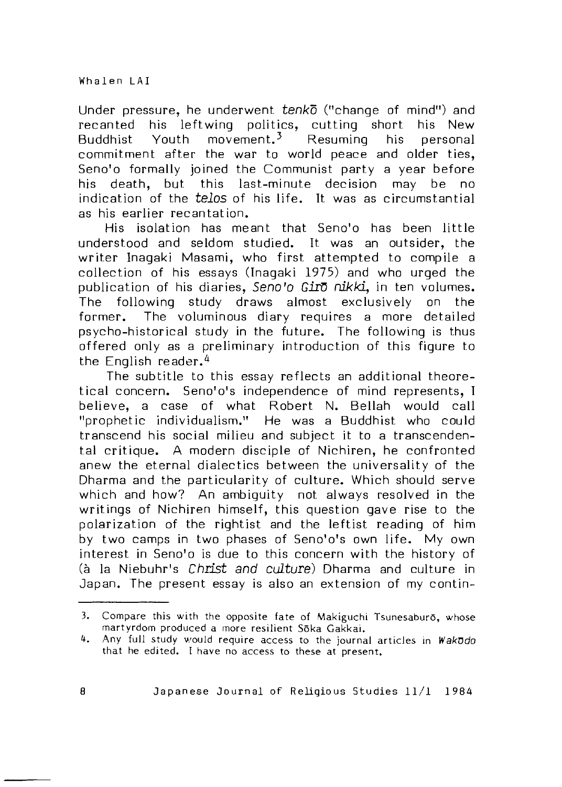Under pressure, he underwent *tenkd* ("change of mind") and recanted his leftwing politics, cutting short his New Buddhist Youth movement.<sup>3</sup> Resuming his personal commitment after the war to world peace and older ties, Seno'o formally joined the Communist party a year before his death, but this last-minute decision may be no indication of the *telos* of his life. It was as circumstantial as his earlier recantation.

His isolation has meant that Seno'o has been little understood and seldom studied. It was an outsider, the writer Inagaki Masami, who first attempted to compile a collection of his essays (Inagaki 1975) and who urged the publication of his diaries, Seno'o Giro nikki, in ten volumes. The following study draws almost exclusively on the former. The voluminous diary requires a more detailed psycho-historical study in the future. The following is thus offered only as a preliminary introduction of this figure to the English reader.<sup>4</sup>

The subtitle to this essay reflects an additional theoretical concern. Seno'o's independence of mind represents. I believe, a case of what Robert N. Bellah would call "prophetic individualism." He was a Buddhist who could transcend his social milieu and subject it to a transcendental critique. A modern disciple of Nichiren, he confronted anew the eternal dialectics between the universality of the Dharma and the particularity of culture. Which should serve which and how? An ambiguity not always resolved in the writings of Nichiren himself, this question gave rise to the polarization of the rightist and the leftist reading of him by two camps in two phases of Seno'o's own life. My own interest in Seno'o is due to this concern with the history of (à la Niebuhr's *Christ and culture*) Dharma and culture in Japan. The present essay is also an extension of my contin-

<sup>3.</sup> Compare this with the opposite fate of Makiguchi Tsunesaburō, whose martyrdom produced a more resilient Sōka Gakkai.

<sup>4.</sup> Any full study would require access to the journal articles in Wakodo that he edited. I have no access to these at present.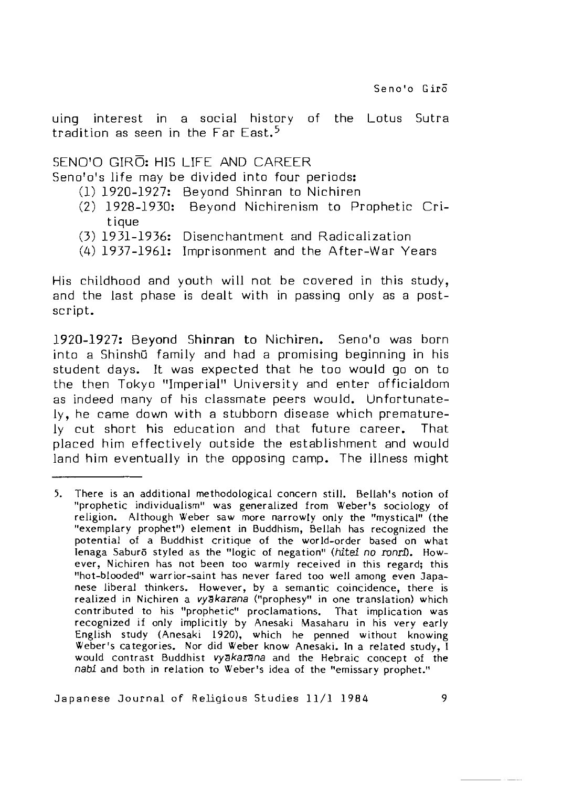uing interest in a social history of the Lotus Sutra tradition as seen in the Far East.<sup>5</sup>

# SENO'O GIRO: HIS LIFE AND CAREER

Seno'o's life may be divided into four periods:

- (1)1920-1927: Beyond Shinran to Nichiren
- (2) 1928-1930: Beyond Nichirenism to Prophetic Critique
- (3)1931-1936: Disenchantment and R adicalization
- (4) 1937-1961: Imprisonment and the After-War Years

His childhood and youth will not be covered in this study, and the last phase is dealt with in passing only as a postscript.

1920-1927: Beyond Shinran to Nichiren. Seno'o was born into a Shinshū family and had a promising beginning in his student days. It was expected that he too would go on to the then Tokyo "Imperial" University and enter officialdom as indeed many of his classmate peers would. Unfortunately, he came down with a stubborn disease which prematurely cut short his education and that future career. That placed him effectively outside the establishment and would land him eventually in the opposing camp. The illness might

<sup>5.</sup> There is an additional methodological concern s till. Bellah's notion of "prophetic individualism" was generalized from Weber's sociology of religion. Although Weber saw more narrowly only the "mystical" (the "exemplary prophet") element in Buddhism, Bellah has recognized the potential of a Buddhist critique of the world-order based on what lenaga Saburō styled as the "logic of negation" (hitei no ronri). However, Nichiren has not been too warmly received in this regard; this "hot-blooded" warrior-saint has never fared too well among even Japanese liberal thinkers. However, by a semantic coincidence, there is realized in Nichiren a *vySkarsna* ("prophesy" in one translation) which contributed to his "prophetic" proclamations. That implication was recognized if only implicitly by Anesaki Masaharu in his very early English study (Anesaki 1920), which he penned without knowing Weber's categories. Nor did Weber know Anesaki. In a related study, I would contrast Buddhist *vyakarana* and the Hebraic concept of the *nabi* and both in relation to Weber's idea of the "emissary prophet."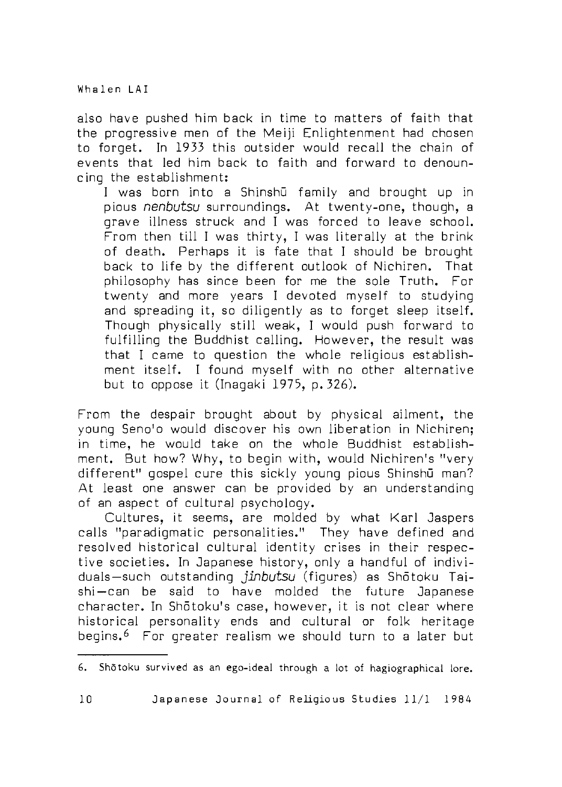also have pushed him back in time to matters of faith that the progressive men of the Meiji Enlightenment had chosen to forget. In 1933 this outsider would recall the chain of events that led him back to faith and forward to denouncing the establishment:

I was born into a Shinshū family and brought up in pious *nenbutsu* surroundings. At twenty-one, though, a grave illness struck and I was forced to leave school. From then till I was thirty. I was literally at the brink of death. Perhaps it is fate that I should be brought back to life by the different outlook of Nichiren. That philosophy has since been for me the sole Truth. For twenty and more years I devoted myself to studying and spreading it, so diligently as to forget sleep itself. Though physically still weak, I would push forward to fulfilling the Buddhist calling. However, the result was that I came to question the whole religious establishment itself. I found myself with no other alternative but to oppose it (Inagaki 1975, p. 326).

From the despair brought about by physical ailment, the young Seno'o would discover his own liberation in Nichiren; in time, he would take on the whole Buddhist establishment. But how? Why, to begin with, would Nichiren's "very different" gospel cure this sickly young pious Shinshū man? At least one answer can be provided by an understanding of an aspect of cultural psychology.

Cultures, it seems, are molded by what Karl Jaspers calls "paradiqmatic personalities." They have defined and resolved historical cultural identity crises in their respective societies. In Japanese history, only a handful of individuals-such outstanding *jinbutsu* (figures) as Shotoku Taishi-can be said to have molded the future Japanese character. In Shōtoku's case, however, it is not clear where historical personality ends and cultural or folk heritage begins.<sup>6</sup> For greater realism we should turn to a later but

<sup>6.</sup> Shōtoku survived as an ego-ideal through a lot of hagiographical lore.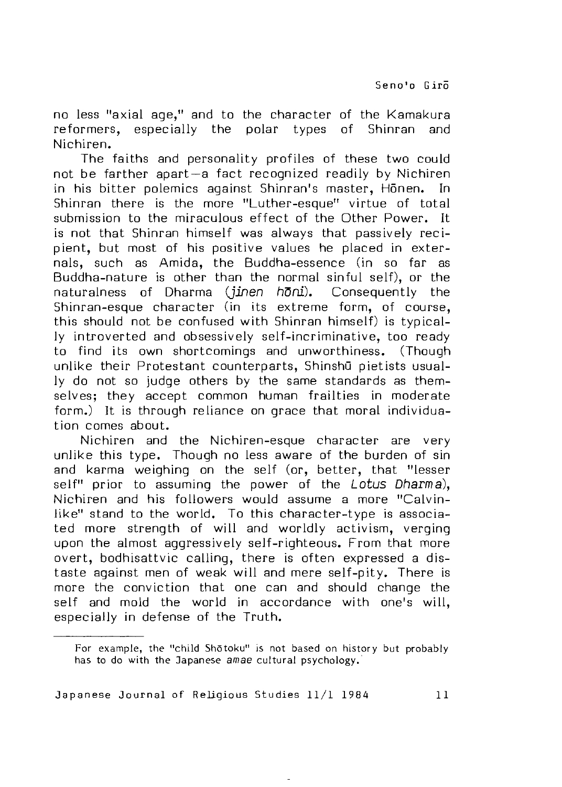no less "axial age," and to the character of the Kamakura reformers, especially the polar types of Shinran and Nichiren.

The faiths and personality profiles of these two could not be farther apart—a fact recognized readily by Nichiren in his bitter polemics against Shinran's master, Honen, In Shinran there is the more "Luther-esque" virtue of total submission to the miraculous effect of the Other Power. It is not that Shinran himself was always that passively recipient, but most of his positive values he placed in externals, such as Amida, the Buddha-essence (in so far as Buddha-nature is other than the normal sinful self), or the naturalness of Dharma *(jjnen hDni),* Consequently the Shinran-esque character (in its extreme form, of course, this should not be confused with Shinran himself) is typically introverted and obsessively self-incriminative, too ready to find its own shortcomings and unworthiness. (Though unlike their Protestant counterparts, Shinshū pietists usually do not so judge others by the same standards as them selves: they accept common human frailties in moderate form.) It is through reliance on grace that moral individuation comes about.

Nichiren and the Nichiren-esque character are very unlike this type. Though no less aware of the burden of sin and karma weighing on the self (or, better, that "lesser self" prior to assuming the power of the *Lotus Dharma),* Nichiren and his followers would assume a more "Calvinlike" stand to the world. To this character-type is associated more strength of will and worldly activism, verging upon the almost aggressively self-righteous. From that more overt, bodhisattvic calling, there is often expressed a distaste against men of weak will and mere self-pity. There is more the conviction that one can and should change the self and mold the world in accordance with one's will. especially in defense of the Truth.

For example, the "child Shotoku" is not based on history but probably has to do with the ^Japanese *amae* cultural psychology.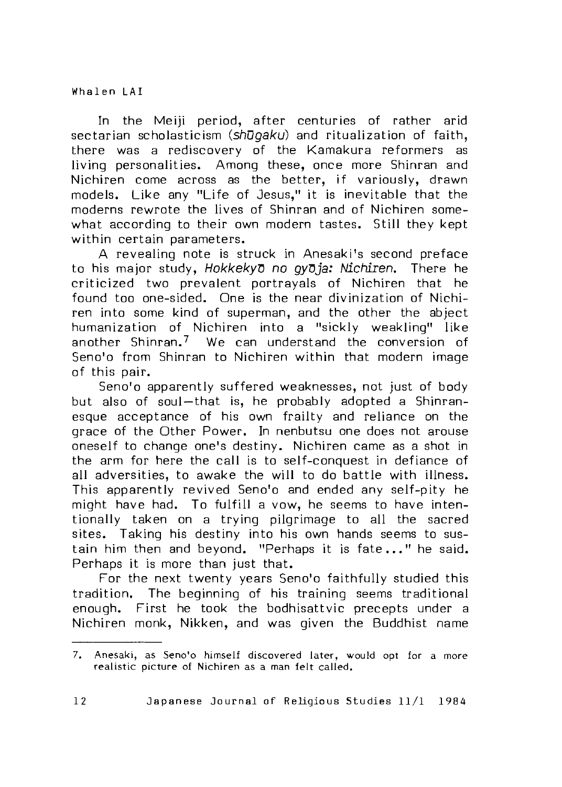In the Meiji period, after centuries of rather arid sectarian scholasticism (shugaku) and ritualization of faith, there was a rediscovery of the Kamakura reformers as living personalities. Among these, once more Shinran and Nichiren come across as the better, if variously, drawn models. Like any "Life of Jesus." it is inevitable that the moderns rewrote the lives of Shinran and of Nichiren somewhat according to their own modern tastes. Still they kept within certain parameters.

A revealing note is struck in Anesaki's second preface to his major study, *Hokkeky'D no* gyDja: *Nichiren.* There he criticized two prevalent portrayals of Nichiren that he found too one-sided. One is the near divinization of Nichiren into some kind of superman, and the other the abject humanization of Nichiren into a "sickly weakling" like another Shinran.<sup>7</sup> We can understand the conversion of Seno'o from Shinran to Nichiren within that modern image of this pair.

Seno'o apparently suffered weaknesses, not just of body but also of soul-that is, he probably adopted a Shinranesque acceptance of his own frailty and reliance on the grace of the Other Power. In nenbutsu one does not arouse oneself to change one's destiny. Nichiren came as a shot in the arm for here the call is to self-conquest in defiance of all adversities, to awake the will to do battle with illness. This apparently revived Seno'o and ended any self-pity he might have had. To fulfill a vow, he seems to have intentionally taken on a trying pilgrimage to all the sacred sites. Taking his destiny into his own hands seems to sustain him then and beyond. "Perhaps it is fate..." he said. Perhaps it is more than just that.

For the next twenty years Seno'o faithfully studied this tradition. The beginning of his training seems traditional enough. First he took the bodhisattvic precepts under a Nichiren monk, Nikken, and was given the Buddhist name

<sup>7.</sup> Anesaki, as Seno'o himself discovered later, would opt for a more realistic picture of Nichiren as a man felt called.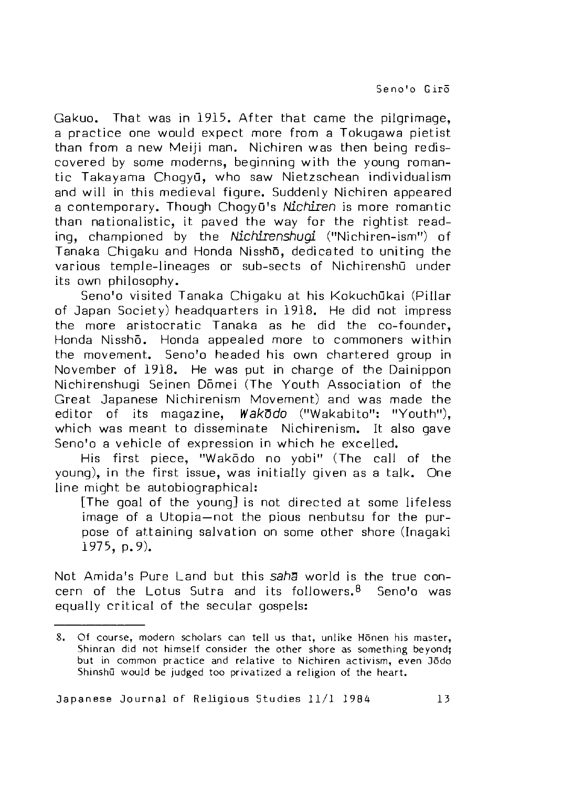Gakuo. That was in 1915. After that came the pilgrimage. a practice one would expect more from a Tokugawa pietist than from a new Meiji man. Nichiren was then being rediscovered by some moderns, beginning with the young romantic Takayama ChogyG, who saw Nietzschean individualism and will in this medieval figure. Suddenly Nichiren appeared a contemporary. Though Chogy<sub>0</sub>'s *Nichiren* is more romantic than nationalistic, it paved the way for the rightist reading, championed by the *Nichirenshugl* ("Nichiren-ism") of Tanaka Chigaku and Honda Nissho, dedicated to uniting the various temple-lineages or sub-sects of NichirenshG under its own philosophy.

Seno'o visited Tanaka Chigaku at his Kokuchūkai (Pillar of Japan Society) headquarters in 1918. He did not impress the more aristocratic Tanaka as he did the co-founder. Honda Nisshō. Honda appealed more to commoners within the movement. Seno'o headed his own chartered group in November of 1918. He was put in charge of the Dainippon Nichirenshugi Seinen Domei (The Youth Association of the Great Japanese Nichirenism Movement) and was made the editor of its magazine, *WskDdo* ("Wakabito": "Youth"), which was meant to disseminate Nichirenism. It also gave Seno'o a vehicle of expression in which he excelled.

His first piece. "Wakodo no vobi" (The call of the young), in the first issue, was initially given as a talk. One line might be autobiographical:

[The goal of the young] is not directed at some lifeless image of a Utopia-not the pious nenbutsu for the purpose of attaining salvation on some other shore (Inagaki 1975, p. 9).

Not Amida's Pure Land but this saha world is the true concern of the Lotus Sutra and its followers. $8$  Seno'o was equally critical of the secular gospels:

<sup>8.</sup> Of course, modern scholars can tell us that, unlike Honen his master, Shinran did not himself consider the other shore as something beyond; but in common practice and relative to Nichiren activism, even 35do Shinshū would be judged too privatized a religion of the heart.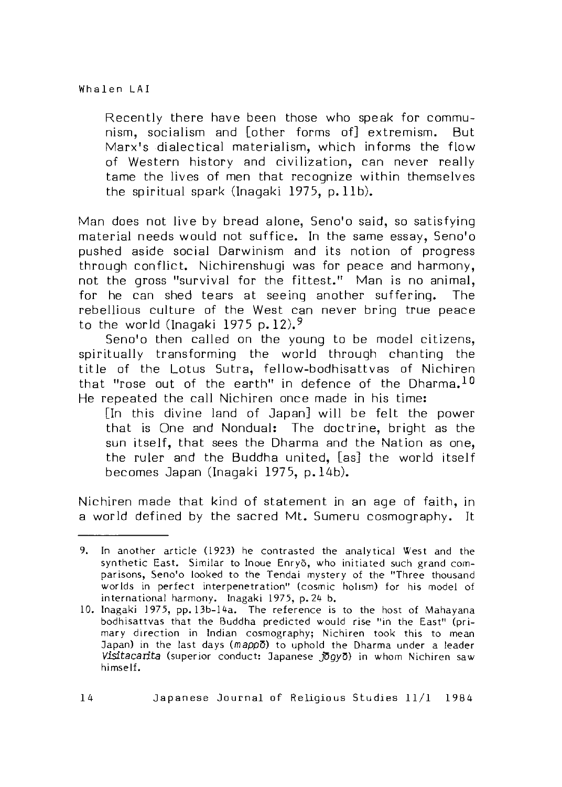Recently there have been those who speak for communism, socialism and [other forms of] extremism. But Marx's dialectical materialism, which informs the flow of Western history and civilization, can never really tame the lives of men that recognize within themselves the spiritual spark (Inagaki 1975,  $p. 11b$ ).

Man does not live by bread alone, Seno'o said, so satisfying material needs would not suffice. In the same essay, Seno'o pushed aside social Darwinism and its notion of progress through conflict. Nichirenshugi was for peace and harmony, not the gross "survival for the fittest." Man is no animal. for he can shed tears at seeing another suffering. The rebellious culture of the West can never bring true peace to the world (Inagaki 1975 p.12).<sup>9</sup>

Seno'o then called on the young to be model citizens, spiritually transforming the world through chanting the title of the Lotus Sutra, fellow-bodhisattvas of Nichiren that "rose out of the earth" in defence of the Dharma.<sup>10</sup> He repeated the call Nichiren once made in his time:

[In this divine land of Japan] will be felt the power that is One and Nondual: The doctrine, bright as the sun itself, that sees the Dharma and the Nation as one. the ruler and the Buddha united, [as] the world itself becomes Japan (Inagaki 1975, p. 14b).

Nichiren made that kind of statement in an age of faith, in a world defined by the sacred Mt. Sumeru cosmography. It

<sup>9.</sup> In another article (1923) he contrasted the analytical West and the synthetic East. Similar to Inoue Enry5, who initiated such grand comparisons, Seno'o looked to the Tendai mystery of the "Three thousand worlds in perfect interpenetration" (cosmic holism) for his model of international harmony. Inagaki 1975, p. *2k* b.

<sup>10.</sup> Inagaki 1975, pp. 13b-14a. The reference is to the host of Mahayana bodhisattvas that the Buddha predicted would rise "in the East" (primary direction in Indian cosmography; Nichiren took this to mean Japan) in the last days (mappo) to uphold the Dharma under a leader Visitacarita (superior conduct: Japanese *JOgyD*) in whom Nichiren saw himself.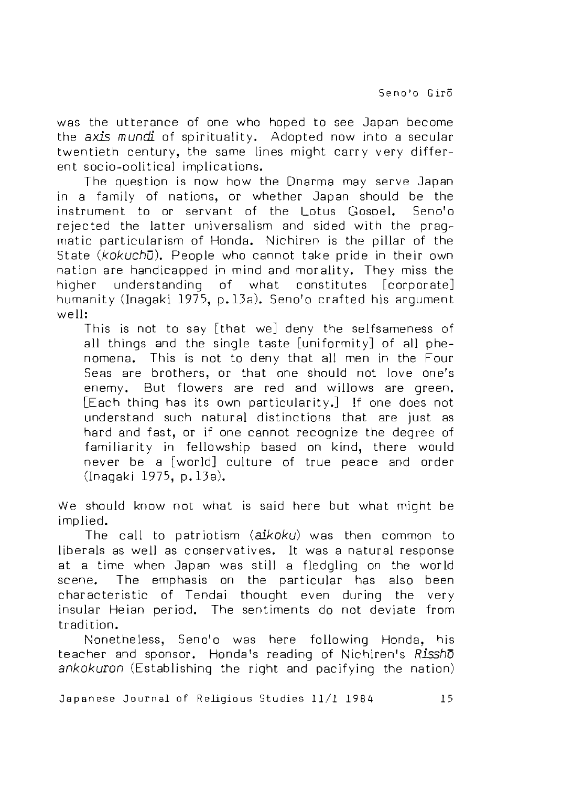was the utterance of one who hoped to see Japan become the *axis mundi* of spirituality. Adopted now into a secular twentieth century, the same lines might carry very different socio-political implications.

The question is now how the Dharma may serve Japan in a family of nations, or whether Japan should be the instrum ent to or servant of the Lotus Gospel. Seno'o rejected the latter universalism and sided with the pragmatic particularism of Honda. Nichiren is the pillar of the State *(kokuchū)*. People who cannot take pride in their own nation are handicapped in mind and morality. They miss the higher understanding of what constitutes [corporate] humanity (Inagaki 1975, p.13a). Seno'o crafted his argument well:

This is not to say [that we] deny the selfsameness of all things and the single taste [uniformity] of all phenomena. This is not to deny that all men in the Four Seas are brothers, or that one should not love one's enemy. But flowers are red and willows are green. [Each thing has its own particularity.] If one does not understand such natural distinctions that are just as hard and fast, or if one cannot recognize the degree of familiarity in fellowship based on kind, there would never be a [world] culture of true peace and order (Inagaki 1975, p.13a).

We should know not what is said here but what might be implied.

The call to patriotism *(alkoku)* was then common to liberals as well as conservatives. It was a natural response at a time when Japan was still a fledgling on the world scene. The emphasis on the particular has also been characteristic of Tendai thought even during the very insular Heian period. The sentiments do not deviate from tradition.

Nonetheless, Seno'o was here following Honda, his teacher and sponsor. Honda's reading of Nichiren's *Rissho ankokuron* (Establishing the right and pacifying the nation)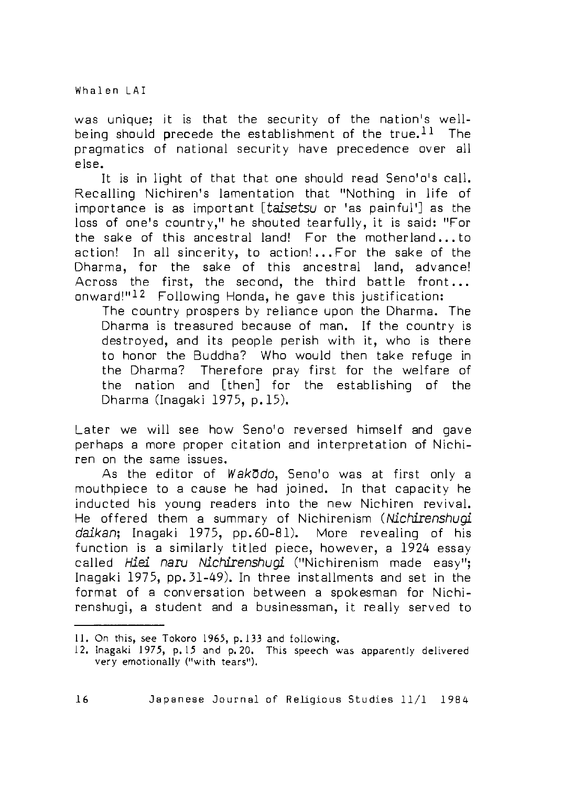Whalen | AI

was unique; it is that the security of the nation's wellbeing should precede the establishment of the true.<sup>11</sup> The pragmatics of national security have precedence over all else.

It is in light of that that one should read Seno'o's call. Recalling Nichiren's lamentation that "Nothing in life of importance is as important *[taisetsu* or 'as painful'] as the loss of one's country," he shouted tearfully, it is said: "For the sake of this ancestral land! For the motherland... to action! In all sincerity, to action!... For the sake of the Dharma, for the sake of this ancestral land, advance! Across the first, the second, the third battle front... onward!"<sup>12</sup> Following Honda, he gave this justification:

The country prospers by reliance upon the Dharma. The Dharma is treasured because of man. If the country is destroyed, and its people perish with it, who is there to honor the Buddha? Who would then take refuge in the Dharma? Therefore pray first for the welfare of the nsition and [then] for the establishing of the Dharma (Inagaki 1975, p. 15).

Later we will see how Seno'o reversed himself and qave perhaps a more proper citation and interpretation of Nichiren on the same issues.

As the editor of *Wakodo*, Seno'o was at first only a mouthpiece to a cause he had joined. In that capacity he inducted his young readers into the new Nichiren revival. He offered them a summary of Nichirenism *(Nichirenshugi daikan;* Inagaki 1975, pp. 60-81). More revealing of his function is a similarly titled piece, however, a 1924 essay called *Hiei naru Nichirenshugi* ("Nichirenism made easy"; Inagaki 1975, pp. 31-49). In three installments and set in the format of a conversation between a spokesman for Nichirenshugi, a student and a businessman, it really served to

<sup>11.</sup> On this, see Tokoro 1965, p.133 and following.

<sup>12.</sup> Inagaki 1975, p. 15 and p. 20. This speech was apparently delivered very emotionally ("with tears").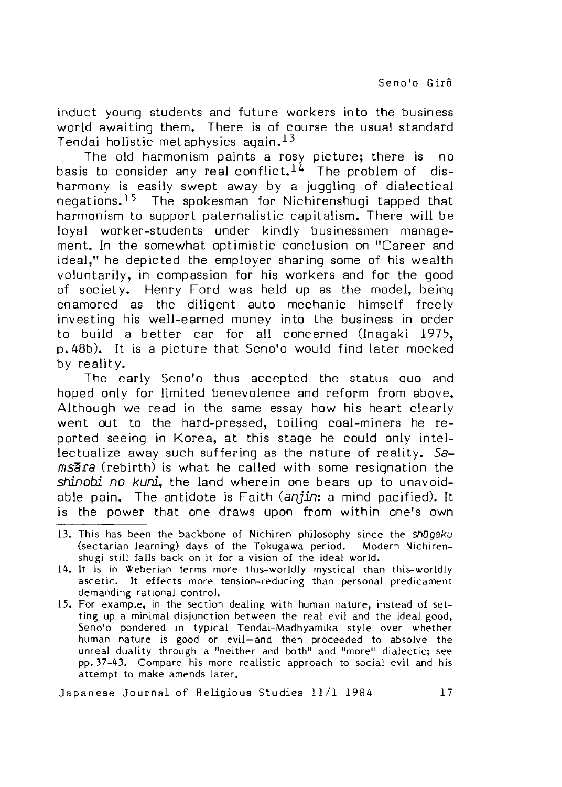induct young students and future workers into the business world awaiting them. There is of course the usual standard Tendai holistic metaphysics again.<sup>13</sup>

The old harmonism paints a rosy picture; there is no basis to consider any real conflict.  $1^4$  The problem of disharmony is easily swept away by a juggling of dialectical  $neq$  negations.<sup>15</sup> The spokesman for Nichirenshugi tapped that harmonism to support paternalistic capitalism. There will be loyal worker-students under kindly businessmen management. In the somewhat optimistic conclusion on "Career and ideal," he depicted the employer sharing some of his wealth voluntarily, in compassion for his workers and for the good of society. Henry Ford was held up as the model, being  $enamored$  as the diligent auto mechanic himself freely investing his well-earned money into the business in order to build a better car for all concerned (Inagaki 1975, p. 48b). It is a picture that Seno'o would find later mocked by reality.

The early Seno'o thus accepted the status quo and hoped only for limited benevolence and reform from above. Although we read in the same essay how his heart clearly went out to the hard-pressed, toiling coal-miners he reported seeing in Korea, at this stage he could only intellectualize away such suffering as the nature of reality. Sa $ms\overline{a}ra$  (rebirth) is what he called with some resignation the *shin obi no kuni* the land wherein one bears up to unavoidable pain. The antidote is Faith (anjin: a mind pacified). It is the power that one draws upon from within one's own

- 13. This has been the backbone of Nichiren philosophy since the *shDgaku* (sectarian learning) days of the Tokugawa period. Modern Nichirenshugi still falls back on it for a vision of the ideal world.
- 14. It is in Weberian terms more this-worldly mystical than this-worldly ascetic. It effects more tension-reducing than personal predicament demanding rational control.
- 15. For example, in the section dealing with human nature, instead of setting up a minimal disjunction between the real evil and the ideal good, Seno'o pondered in typical Tendai-Madhyamika style over whether human nature is good or evil—and then proceeded to absolve the unreal duality through a "neither and both" and "more" dialectic; see pp. 37-43. Compare his more realistic approach to social evil and his attempt to make amends later.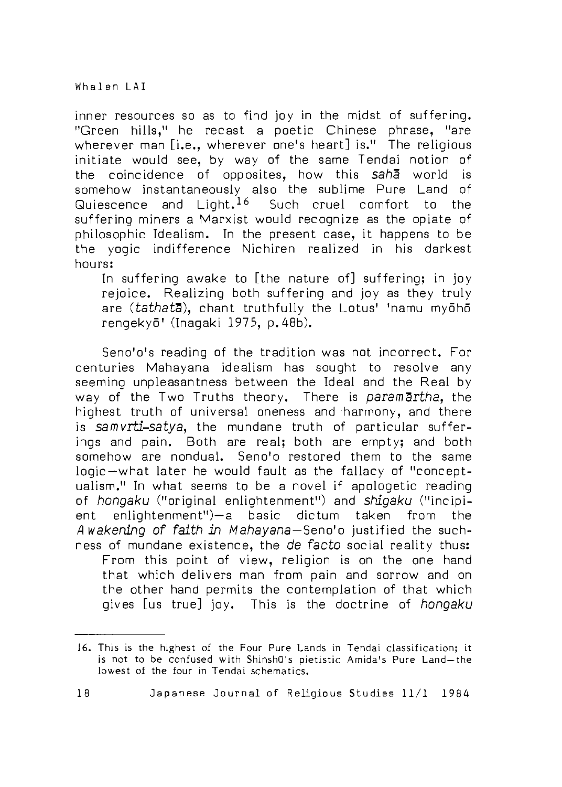inner resources so as to find joy in the midst of suffering. "Green hills," he recast a poetic Chinese phrase, "are wherever man [i.e., wherever one's heart] is." The religious initiate would see, by way of the same Tendai notion of the coincidence of opposites, how this *S3ha* w orld is somehow instantaneously also the sublime Pure Land of Quiescence and Light.  $16$  Such cruel comfort to the suffering miners a Marxist would recognize as the opiate of philosophic Idealism. In the present case, it happens to be the yogic indifference Nichiren realized in his darkest hours:

In suffering awake to [the nature of] suffering; in joy rejoice. Realizing both suffering and joy as they truly are (tathata), chant truthfully the Lotus' 'namu myōhō rengekyo' (Inagaki 1975, p. 48b).

Seno'o's reeding of the tredition was not incorrect. For centuries Mahayana idealism has sought to resolve any seeming unpleasantness between the Ideal and the Real by way of the Two Truths theory. There is paramartha, the highest truth of universal oneness and harmony, and there is *samvrti-satya,* the mundane truth of particular sufferings and pain. Both are real; both are empty; and both somehow are nondual. Seno'o restored them to the same logic —what later he would fault as the fallacy of "conceptualism ." In w hat seems to be a novel if apologetic reading of *hongaku* ("original enlightenment") and *shigaku* ("incipient enlightenment")—a basic dictum taken from the A wakening of faith in Mahayana-Seno'o justified the suchness of mundane existence, the *de facto* social reality thus: From this point of view, religion is on the one hand that which delivers man from pain and sorrow and on the other hand permits the contemplation of that which gives [us true] joy. This is the doctrine of *hongaku* 

<sup>16.</sup> This is the highest of the Four Pure Lands in Tendai classification; it is not to be confused with ShinshQ's pietistic Amida's Pure Land —the lowest of the four in Tendai schematics.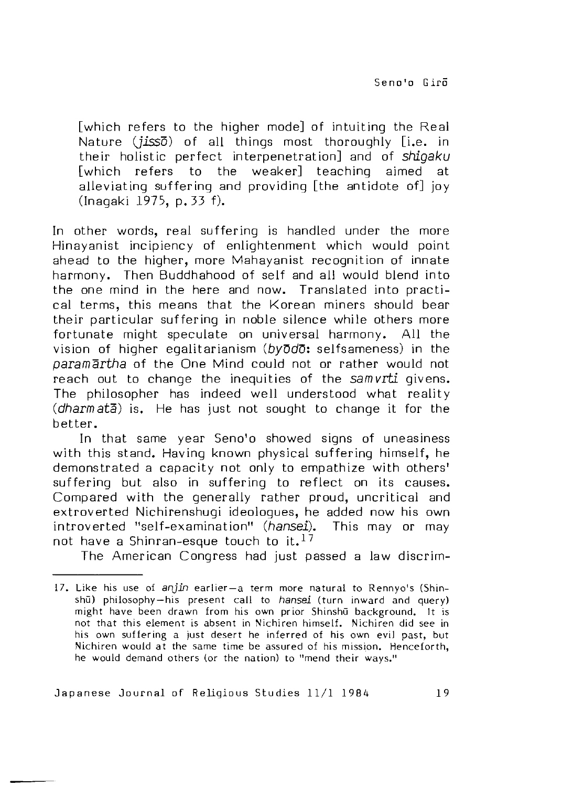[which refers to the higher mode] of intuiting the Real Nature *(jisso)* of all things most thoroughly [i.e. in their holistic perfect interpenetration] and of *shigaku* [which refers to the weaker] teaching aimed at alleviating suffering and providing [the antidote of] joy (Inagaki 1973, p. 33 f)\_

In other words, real suffering is handled under the more Hinayanist incipiency of enlightenment which would point ahead to the higher, more Mahayanist recognition of innate harmony. Then Buddhahood of self and all would blend into the one mind in the here and now. Translated into practical terms, this means that the Korean miners should bear their particular suffering in noble silence while others more fortunate might speculate on universal harmony. All the vision of higher egalitarianism *(byDdd:* selfsameness) in the *paramartha* of the One Mind could not or rather would not reach out to change the inequities of the samvrti givens. The philosopher has indeed well understood what reality (*dharm ata*) is. He has just not sought to change it for the better.

In that same year Seno'o showed signs of uneasiness with this stand. Having known physical suffering himself, he demonstrated a capacity not only to empathize with others' suffering but also in suffering to reflect on its causes. Compared with the generally rather proud, uncritical and extroverted Nichirenshugi ideologues, he added now his own introverted "self-examination" *(hansel).* This may or may not have a Shinran-esque touch to it.<sup>17</sup>

The American Congress had just passed a law discrim-

<sup>17.</sup> Like his use of anjin earlier-a term more natural to Rennyo's (Shinshū) philosophy-his present call to *hansei* (turn inward and query) might have been drawn from his own prior Shinshu background. It is not that this element is absent in Nichiren himself. Nichiren did see in his own suffering a just desert he inferred of his own eviJ past, but Nichiren would at the same time be assured of his mission. Henceforth, he would demand others (or the nation) to "mend their ways."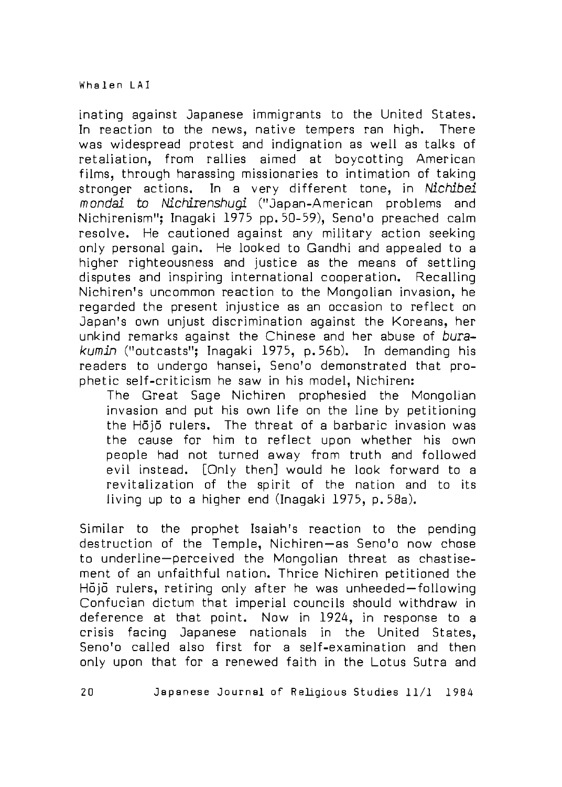inating against Japanese immigrants to the United States. In reaction to the news, native tempers ran high. There was widespread protest and indignation as well as talks of retaliation, from rallies aimed at boycotting American films, through harassing missionaries to intimation of taking stronger actions. In a very different tone, in *Nichibei mondai to Nichirenshugi* ("Japan-American problems and Nichirenism"; Inagaki 1975 pp. 50-59), Seno'o preached calm resolve. He cautioned against any military action seeking only personal gain. He looked to Gandhi and appealed to a higher righteousness and justice as the means of settling disputes and inspiring international cooperation. Recalling Nichiren's uncommon reaction to the Mongolian invasion, he regarded the present injustice as an occasion to reflect on Japan's own unjust discrimination against the Koreans, her unkind remarks against the Chinese and her abuse of burakumin ("outcasts"; Inagaki 1975, p.56b). In demanding his readers to undergo hansei, Seno'o demonstrated that prophetic self-criticism he saw in his model, Nichiren:

The Great Sage Nichiren prophesied the Mongolian invasion and put his own life on the line by petitioning the Hōjō rulers. The threat of a barbaric invasion was the cause for him to reflect upon whether his own people had not turned away from truth and followed evil instead. [Only then] would he look forward to a revitalization of the spirit of the nation and to its living up to a higher end (Inagaki 1975, p. 58a).

Similar to the prophet Isaiah's reaction to the pending destruction of the Temple, Nichiren-as Seno'o now chose to underline-perceived the Mongolian threat as chastisement of an unfaith ful nation. Thrice Nichiren petitioned the Hojo rulers, retiring only after he was unheeded-following Confucian dictum that imperial councils should withdraw in deference at that point. Now in 1924, in response to a crisis facing Japanese netionels in the United States, Seno'o called also first for a self-examination and then only upon that for a renewed faith in the Lotus Sutra and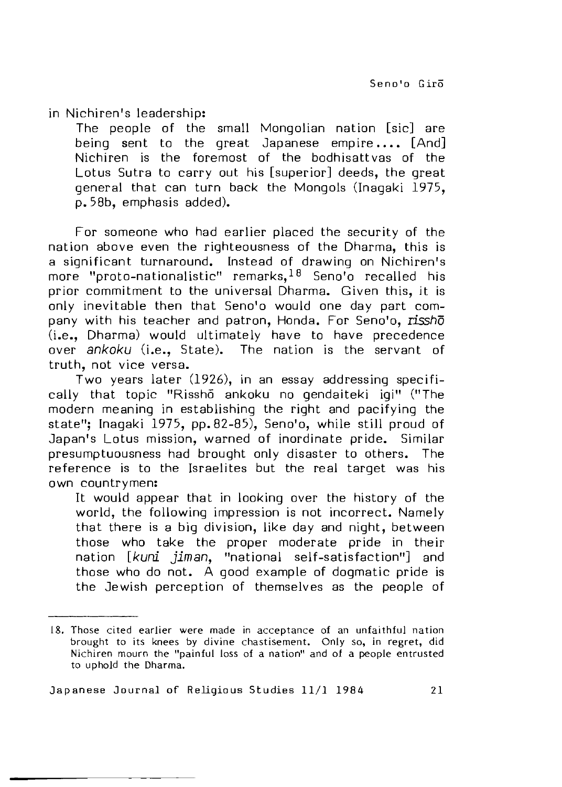in Nichiren's leadership:

The people of the small Mongolian nation [sic] are being sent to the great Japanese empire....  $[And]$ Nichiren is the foremost of the bodhisattvas of the Lotus Sutra to carry out his [superior] deeds, the great general that can turn back the Mongols (Inagaki 1975, p. 58b, emphasis added).

For someone who had earlier placed the security of the nation above even the righteousness of the Dharma, this is a significant turnaround. Instead of drawing on Nichiren's more "proto-nationalistic" remarks.<sup>18</sup> Seno'o recalled his prior commitment to the universal Dharma. Given this, it is only inevitable then that Seno'o would one day part company with his teacher and patron, Honda. For Seno'o, *rissho* (i.e., Dharma) would ultimately have to have precedence over *ankoku* (i.e., State). The nation is the servant of truth, not vice versa.

Two years later (1926), in an essay addressing specifically that topic "Rissho ankoku no gendaiteki igi" ("The modern meaning in establishing the right and pacifying the state"; Inagaki 1975, pp. 82-85), Seno'o, while still proud of Japan's Lotus mission, warned of inordinate pride. Similar presumptuousness had brought only disaster to others. The  $r$ eference is to the Israelites but the real target was his own countrymen:

It would appear that in looking over the history of the world, the following impression is not incorrect. Namely that there is a big division, like day and night, between those who take the proper moderate pride in their nation [kuni jiman, "national self-satisfaction"] and those who do not. A good example of dogmatic pride is the Jewish perception of themselves as the people of

<sup>18.</sup> Those cited earlier were made in acceptance of an unfaithful nation brought to its knees by divine chastisement. Only so, in regret, did Nichiren mourn the "painful loss of a nation" and of a people entrusted to uphold the Dharma.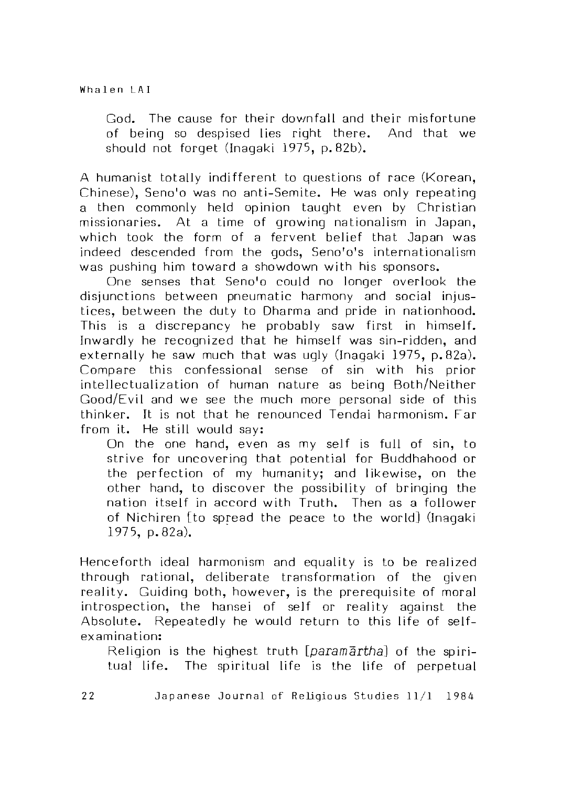God. The cause for their downfall and their misfortune of being so despised lies right there. And that we should not forget (Inagaki 1975, p.82b).

A humanist totally indifferent to questions of race (Korean, Chinese), Seno'o was no anti-Semite. He was only repeating a then commonly held opinion taught even by Christian missionaries. At a time of growing nationalism in Japan, which took the form of a fervent belief that Japan was indeed descended from the gods, Seno'o's internationalism was pushing him toward a showdown with his sponsors.

One senses that Seno'o could no longer overlook the disjunctions between pneumatic harmony and social injustices, between the duty to Dharma and pride in nationhood. This is a discrepancy he probably saw first in himself. Inw ardly he recognized that he himself was sin-ridden, and externally he saw much that was ugly (Inagaki 1975, p.82a). Compare this confessional sense of sin with his prior in tellectualization of human nature as being Both/Neither Good/Evil and we see the much more personal side of this thinker. It is not that he renounced Tendai harmonism. Far from it. He still would say:

On the one hand, even as my self is full of sin, to strive for uncovering that potential for Buddhahood or the perfection of my humanity; and likewise, on the other hand, to discover the possibility of bringing the nation itself in accord with Truth. Then as a follower of Nichiren [to spread the peace to the world] (Inagaki 1975, p. 82a).

Henceforth ideal harmonism and equality is to be realized through rational, deliberate transformation of the given reality. Guiding both, however, is the prerequisite of moral introspection, the hansei of self or reality against the Absolute. Repeatedly he would return to this life of selfexamination:

Religion is the highest truth *[paramartha]* of the spiritual life. The spiritual life is the life of perpetual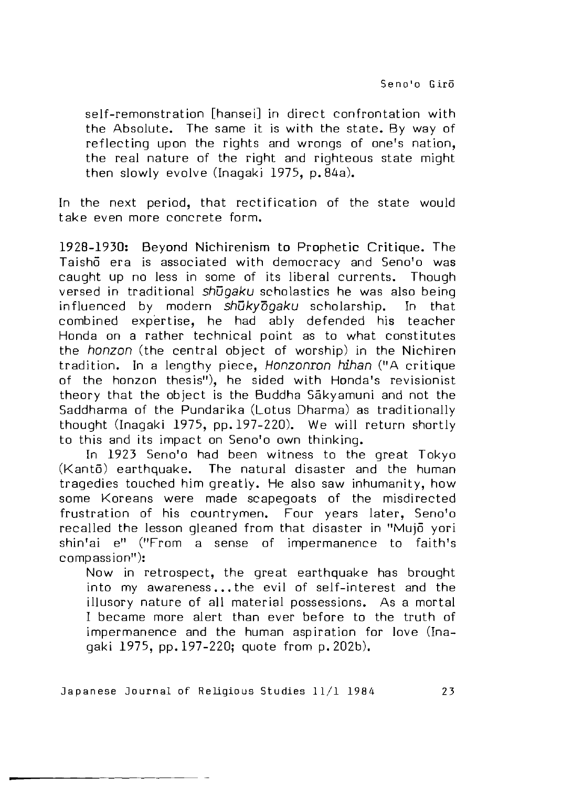Seno'o Giro

self-remonstration [hansei] in direct confrontation with the Absolute. The same it is with the state. By way of reflecting upon the rights and wrongs of one's nation. the real nature of the right and righteous state might then slowly evolve (Inagaki 1975, p. 84a).

In the next period, that rectification of the state would take even more concrete form.

1928-1930: Beyond Nichirenism to Prophetic Critique. The Taisho era is associated with democracy and Seno'o was caught up no less in some of its liberal currents. Though versed in traditional *shugaku* scholastics he was also being influenced by modern *shukydgaku* scholarship. In that combined expertise, he had ably defended his teacher Honda on a rather technical point as to what constitutes the *horizon* (the central object of worship) in the Nichiren tradition. In a lengthy piece, *Honzonron hihan* ("A critique of the honzon thesis"), he sided with Honda's revisionist theory that the object is the Buddha Sakyamuni and not the Saddharma of the Pundarika (Lotus Dharma) as traditionally thought (Inagaki 1975, pp. 197-220). We will return shortly to this and its impact on Seno'o own thinking.

In 1923 Seno'o had been witness to the great Tokyo  $(Kant\overline{o})$  earthquake. The natural disaster and the human tragedies touched him greatly. He also saw inhumanity, how some Koreans were made scapegoats of the misdirected frustration of his countrymen. Four years later, Seno'o recalled the lesson gleaned from that disaster in "Mujo yori  $\sin'$ ai e" ("From a sense of impermanence to faith's compassion"):

Now in retrospect, the great earthquake has brought into my awareness...the evil of self-interest and the illusory nature of all material possessions. As a mortal I became more alert than ever before to the truth of impermanence and the human aspiration for love (Inagaki 1975, pp. 197-220; quote from p. 202b).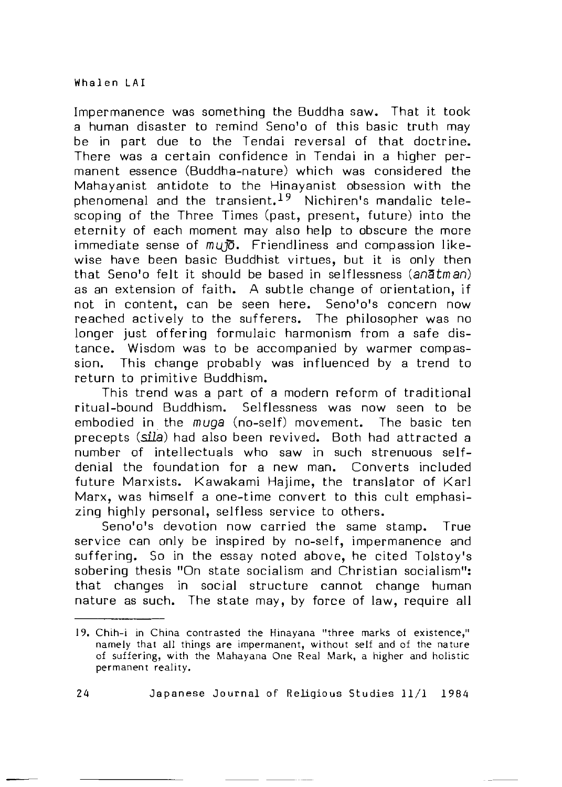Impermanence was something the Buddha saw. That it took a human disaster to remind Seno'o of this basic truth may be in part due to the Tendai reversal of that doctrine. There was a certain confidence in Tendai in a higher permanent essence (Buddha-nature) which was considered the Mahayanist antidote to the Hinayanist obsession with the phenomenal and the transient.<sup>19</sup> Nichiren's mandalic telescoping of the Three Times (past, present, future) into the eternity of each moment may also help to obscure the more immediate sense of  $mu\bar{D}$ . Friendliness and compassion likewise have been basic Buddhist virtues, but it is only then that Seno'o felt it should be based in selflessness (an $\delta$ tman) as an extension of faith. A subtle change of orientation, if not in content, can be seen here. Seno'o's concern now reached actively to the sufferers. The philosopher was no longer just offering formulaic harmonism from a safe distance. Wisdom was to be accompanied by warmer compassion. This change probably was influenced by a trend to return to primitive Buddhism.

This trend was a part of a modern reform of traditional ritual-bound Buddhism. Selflessness was now seen to be embodied in the *muga* (no-self) movement. The basic ten precepts (sila) had also been revived. Both had attracted a number of intellectuals who saw in such strenuous selfdenial the foundation for a new man. Converts included future Marxists. Kawakami Hajime, the translator of Karl Marx, was himself a one-time convert to this cult emphasizing highly personal, selfless service to others.

Seno'o's devotion now carried the same stamp. True service can only be inspired by no-self, impermanence and suffering. So in the essay noted above, he cited Tolstoy's sobering thesis "On state socialism and Christian socialism": that changes in social structure cannot change human nature as such. The state may, by force of law, require all

<sup>19.</sup> Chih-i in China contrasted the Hinayana "three marks of existence," namely that all things are impermanent, without self and of the nature of suffering, with the Mahayana One Real Mark, a higher and holistic permanent reality.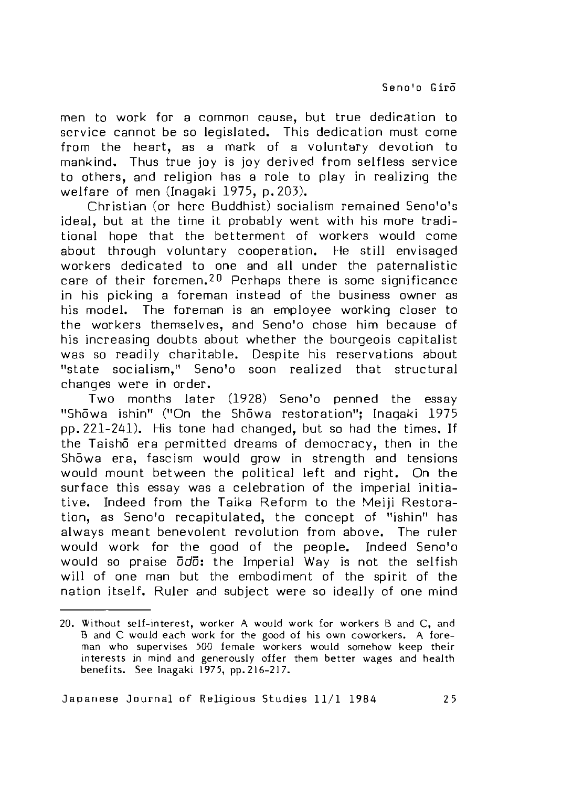men to work for a common cause, but true dedication to service cannot be so legislated. This dedication must come from the heart, as a mark of a voluntary devotion to mankind. Thus true joy is joy derived from selfless service to others, and religion has a role to play in realizing the w elfare of men (Inagaki 1975, p. 203).

Christian (or here Buddhist) socialism remained Seno'o's ideal, but at the time it probably went with his more traditional hope that the betterment of workers would come about through voluntary cooperation. He still envisaged workers dedicated to one and all under the paternalistic care of their foremen.<sup>20</sup> Perhaps there is some significance in his picking a foreman instead of the business owner as his model. The foreman is an employee working closer to the workers themselves, and Seno'o chose him because of his increasing doubts about whether the bourgeois capitalist was so readily charitable. Despite his reservations about "state socialism," Seno'o soon realized that structural changes were in order.

Two months later (1928) Seno'o penned the essay "Showa ishin" ("On the Showa restoration": Inagaki 1975 pp. 221-241). His tone had changed, but so had the times. If the Taisho era permitted dreams of democracy, then in the Showa era, fascism would grow in strength and tensions would mount between the political Left and right. On the surface this essay was a celebration of the imperial initiative. Indeed from the Taika Reform to the Meiji Restoration, as Seno'o recapitulated, the concept of "ishin" has always meant benevolent revolution from above. The ruler would work for the good of the people. Indeed Seno'o would so praise  $\overline{0}d\overline{0}$ : the Imperial Way is not the selfish will of one man but the embodiment of the spirit of the nation itself. Ruler and subject were so ideally of one mind

<sup>20.</sup> Without self-interest, worker A would work for workers B and C, and B and C would each work for the good *of* his own coworkers. A foreman who supervises 500 female workers would somehow keep their interests in mind and generously offer them better wages and health benefits. See Inagaki 1975, pp. 216-217.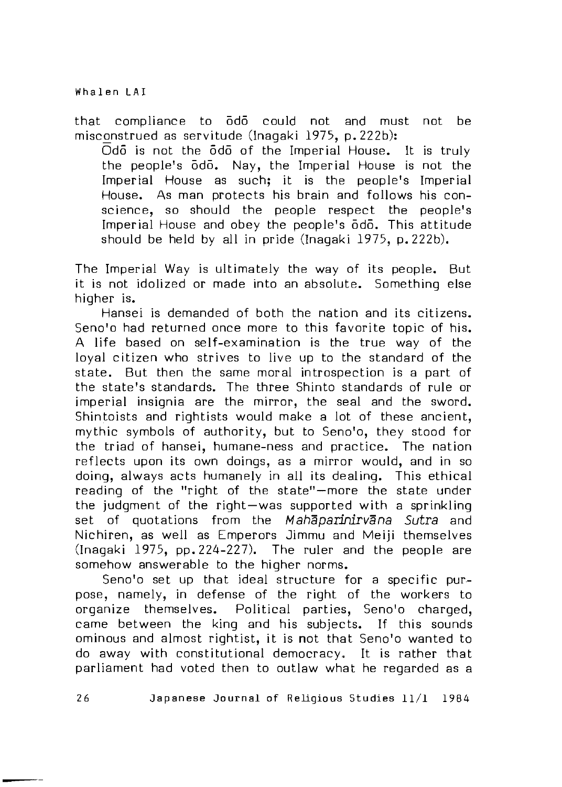that compliance to odo could not and must not be misconstrued as servitude (Inagaki 1975, p. 222b):

 $\overline{O}$ do is not the  $\overline{O}$ do of the Imperial House. It is truly the people's odo. Nay, the Imperial House is not the Imperial House as such: it is the people's Imperial House. As man protects his brain and follows his conscience, so should the people respect the people's Imperial House and obey the people's odo. This attitude should be held by all in pride (Inagaki 1975, p. 222b).

The Imperial Way is ultimately the way of its people. But it is not idolized or made into an absolute. Something else higher is.

Hansei is demanded of both the nation and its citizens. Seno'o had returned once more to this favorite topic of his. A life based on self-examination is the true way of the loyal citizen who strives to live up to the standard of the state. But then the same moral introspection is a part of the state's standards. The three Shinto standards of rule or imperial insignia are the mirror, the seal and the sword. Shintoists and rightists would make a lot of these ancient. mythic symbols of authority, but to Seno'o, they stood for the triad of hansei, humane-ness and practice. The nation reflects upon its own doings, as a mirror would, and in so doing, always acts humanely in all its dealing. This ethical reading of the "right of the state" – more the state under the judgment of the right-was supported with a sprinkling set of quotations from the *Mahaparinirvana Sutra* and Nichiren, as well as Emperors Jimmu and Meiji themselves (Inagaki 1975, pp. 224-227). The ruler and the people are somehow answerable to the higher norms.

Seno'o set up that ideal structure for a specific purpose, namely, in defense of the right of the workers to organize themselves. Political parties, Seno'o charged, came between the king and his subjects. If this sounds ominous and almost rightist, it is not that Seno'o wanted to do away w ith constitutional democracy,. It is rather that parliament had voted then to outlaw what he regarded as a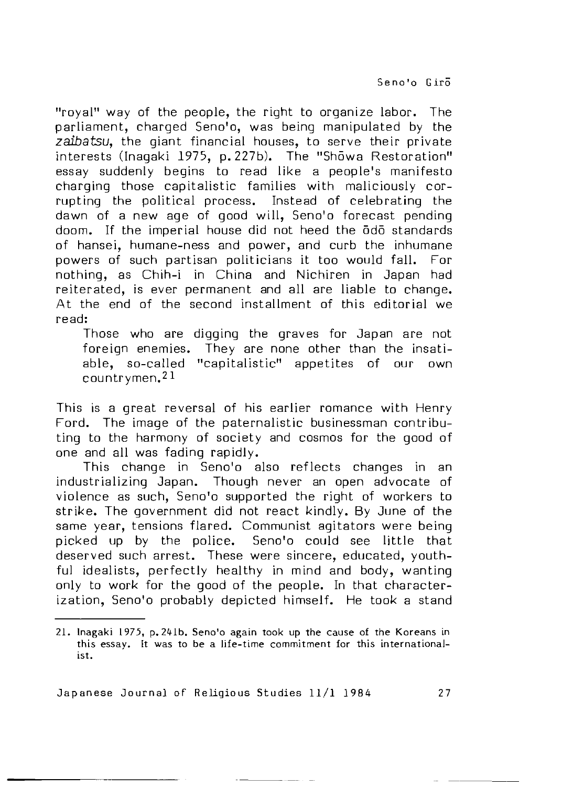"royal" way of the people, the right to organize labor. The parliament, charged Seno'o, was being manipulated by the *zaita tsu ,* the giant financial houses, to serve their private interests (Inagaki 1975, p. 227b). The "Showa Restoration" essay suddenly begins to read like a people's manifesto charging those capitalistic families with maliciously corrupting the political process. Instead of celebrating the dawn of a new age of good will, Seno'o forecast pending doom. If the imperial house did not heed the odo standards of hansei, humane-ness and power, and curb the inhumane powers of such partisan politicians it too would fall. For nothing, as Chih-i in China and Nichiren in Japan had reiterated, is ever permanent and all are liable to change. At the end of the second installment of this editorial we read:

Those who are digging the graves for Japan are not foreign enemies. They are none other than the insatiable, so-called "capitalistic" appetites of our own countrymen.<sup>21</sup>

This is a great reversal of his earlier romance with Henry Ford. The image of the paternalistic businessman contributing to the harmony of society and cosmos for the good of one and all was fading rapidly.

This change in Seno'o also reflects changes in an industrializing Japan. Though never an open advocate of violence as such, Seno'o supported the right of workers to strike. The government did not react kindly. By June of the same year, tensions flared. Communist agitators were being picked up by the police. Seno'o could see little that deserved such arrest. These were sincere, educated, youthful idealists, perfectly healthy in mind and body, wanting only to work for the good of the people. In that characterization, Seno'o probably depicted himself. He took a stand

<sup>2 1 .</sup> Inagaki 1975 p. *2kib.* Seno'o again took up the cause of the Koreans in this essay. It was to be a life-time commitment for this internationalist.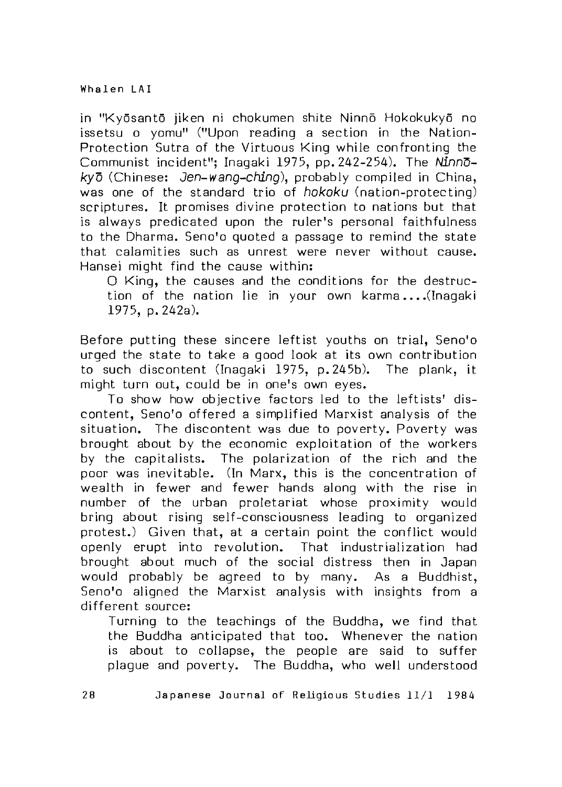in "Kyosanto jiken ni chokumen shite Ninno Hokokukyo no issetsu o yomu" ("Upon reading a section in the Nation-Protection Sutra of the Virtuous King while confronting the Communist incident"; Inagaki 1975, pp. 242-254). The *NinnDkv* $\bar{\sigma}$  (Chinese: *Jen-wano-chino*), probably compiled in China, was one of the standard trio of *hokoku* (nation-protecting) scriptures. It promises divine protection to nations but that is always predicated upon the ruler's personal faithfulness to the Dharma. Seno'o quoted a passage to remind the state that calamities such as unrest were never without cause. Hansei might find the cause within:

O King, the causes and the conditions for the destruction of the nation lie in your own karma....(Inagaki 1975, p. 242a).

Before putting these sincere leftist youths on trial, Seno'o urged the state to take a good look at its own contribution to such discontent (Inagaki 1975, p. 245b). The plank, it might turn out, could be in one's own eyes.

To show how objective factors led to the leftists' discontent. Seno'o offered a simplified Marxist analysis of the situation. The discontent was due to poverty. Poverty was brought about by the economic exploitation of the workers by the capitalists. The polarization of the rich and the poor was inevitable. (In Marx, this is the concentration of wealth in fewer and fewer hands along with the rise in number of the urban proletariat whose proximity would bring about rising self-consciousness leading to organized protest.) Given that, at a certain point the conflict would openly erupt into revolution. That industrialization had brought about much of the social distress then in Japan would probably be agreed to by many. As a Buddhist, Seno'o aligned the Marxist analysis with insights from a different source:

Turning to the teachings of the Buddha, we find that the Buddha anticipated that too. Whenever the nation is about to collapse, the people are said to suffer plague and poverty. The Buddha, who well understood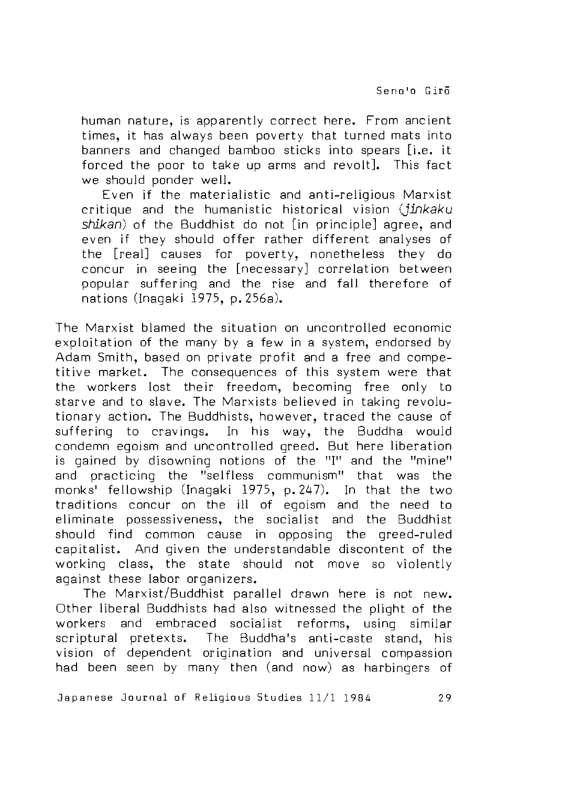human nature, is apparently correct here. From ancient times, it has always been poverty that turned mats into banners and changed bamboo sticks into spears [i.e. it forced the poor to take up arms and revolt]. This fact we should ponder well.

Even if the materialistic and anti-religious Marxist critiq ue and the humanistic historical vision *(jinkaku shikan)* of the Buddhist do not [in principle] agree, and even if they should offer rather different analyses of the [real] causes for poverty, nonetheless they do concur in seeing the [necessary] correlation between popular suffering and the rise and fall therefore of nations (Inagaki 1975, p. 256a).

The Marxist blamed the situation on uncontrolled economic exploitation of the many by a few in a system, endorsed by Adam Smith, based on private profit and a free and competitive market. The consequences of this system were that the workers lost their freedom, becoming free only to starve and to slave. The Marxists believed in taking revolutionary action. The Buddhists, however, traced the cause of suffering to cravings. In his way, the Buddha would condemn egoism and uncontrolled greed. But here liberation is gained by disowning notions of the "I" and the "mine" and practicing the "selfless communism" that was the monks' fellow ship (Inagaki 1975, p. 247). In that the two traditions concur on the ill of egoism and the need to eliminate possessiveness, the socialist and the Buddhist should find common cause in opposing the greed-ruled capitalist. And given the understandable discontent of the working class, the state should not move so violently against these labor organizers.

The Marxist/Buddhist parallel drawn here is not new. Other liberal Buddhists had also witnessed the plight of the workers and embraced socialist reforms, using similar scriptural pretexts. The Buddha's anti-caste stand, his vision of dependent origination and universal compassion had been seen by many then (and now) as harbingers of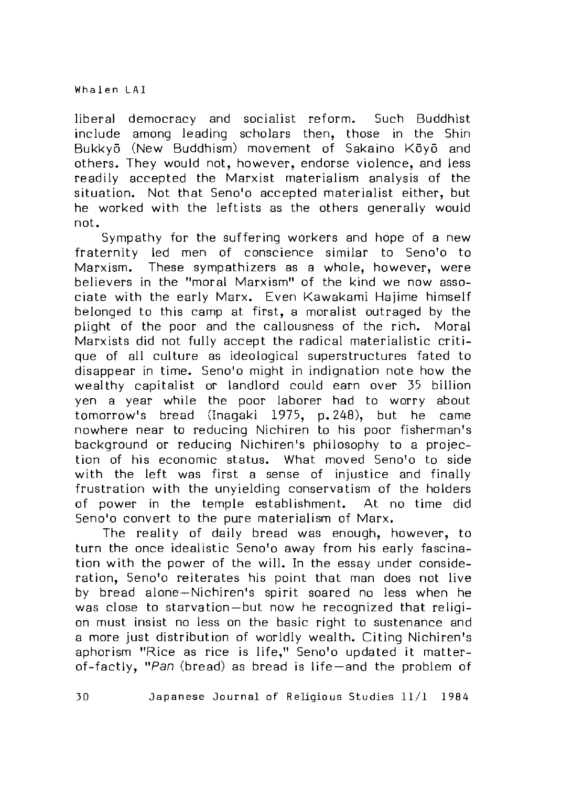liberal democracy and socialist reform. Such Buddhist include among leading scholars then, those in the Shin Bukkyō (New Buddhism) movement of Sakaino Kōyō and others. They would not, however, endorse violence, and less readily accepted the Marxist materialism analysis of the situation. Not that Seno'o accepted materialist either, but he worked with the leftists as the others generally would not.

Sympathy for the suffering workers and hope of a new fraternity led men of conscience similar to Seno'o to Marxism. These sympathizers as a whole, however, were believers in the "moral Marxism" of the kind we now associate with the early Marx. Even Kawakami Hajime himself belonged to this camp at first, a moralist outraged by the plight of the poor and the callousness of the rich. Moral Marxists did not fully accept the radical materialistic critique of all culture as ideological superstructures fated to disappear in time. Seno'o might in indignation note how the wealthy capitalist or landlord could earn over 35 billion yen a year while the poor laborer had to worry about tom orrow's bread (Inagaki 1975, p. 248), but he came nowhere near to reducing Nichiren to his poor fisherman's background or reducing Nichiren's philosophy to a projection of his economic status. What moved Seno'o to side with the left was first a sense of injustice and finally frustration with the unyielding conservatism of the holders of power in the temple establishment. At no time did Seno'o convert to the pure materialism of Marx.

The reality of daily bread was enough, however, to turn the once idealistic Seno'o away from his early fascination with the power of the will. In the essay under consideration, Seno'o reiterates his point that man does not live by bread alone-Nichiren's spirit soared no less when he was close to starvation-but now he recognized that religion must insist no less on the basic right to sustenance and a more just distribution of worldly wealth. Citing Nichiren's aphorism "Rice as rice is life." Seno'o updated it matterof-factly, "Pan (bread) as bread is life —and the problem of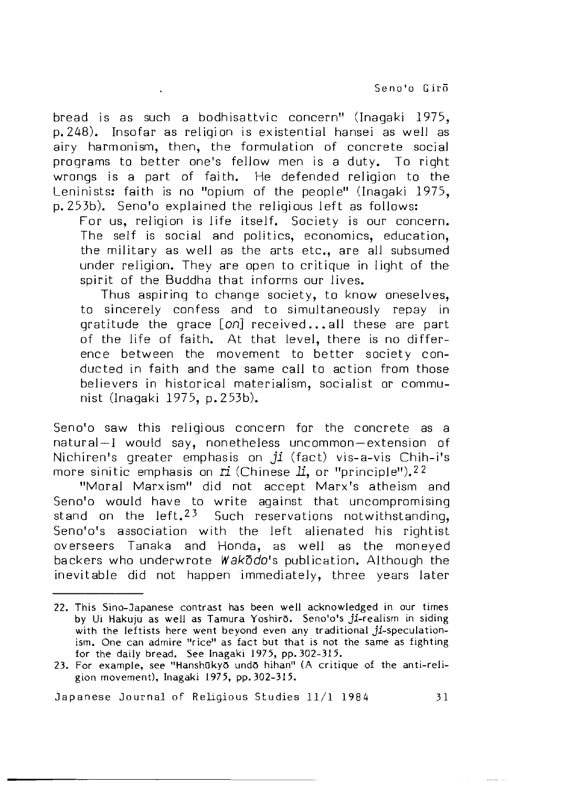bread is as such a bodhisattvic concern" (Inagaki 1975, p. 248). Insofar as religion is existential hansei as well as airy harmonism, then, the formulation of concrete social programs to better one's fellow men is a duty. To right wrongs is a part of faith. He defended religion to the Leninists: faith is no "opium of the people" (Inagaki 1975, p. 253b). Seno'o explained the religious left as follows:

For us, religion is life itself. Society is our concern. The self is social and politics, economics, education, the military as well as the arts etc., are all subsumed under religion. They are open to critique in light of the spirit of the Buddha that informs our lives.

Thus aspiring to change society, to know oneselves, to sincerely confess and to simultaneously repay in gratitude the grace [on] received...all these are part of the life of faith. At that level, there is no difference between the movement to better society conducted in faith and the same call to action from those believers in historical materialism, socialist or communist (Inagaki 1975, p. 253b).

Seno'o saw this religious concern for the concrete as a natural —I would say, nonetheless uncommon — extension of Nichiren's greater emphasis on *ji* (fact) vis-a-vis Chih-i's more sinitic emphasis on ri (Chinese *Li*, or "principle").<sup>22</sup>

"Moral Marxism" did not accept Marx's atheism and Seno'o would have to write against that uncompromising stand on the left.<sup>23</sup> Such reservations notwithstanding, Seno'o's association with the left alienated his rightist overseers Tanaka and Honda, as well as the moneyed backers who underwrote *Wakodo's* publication. Although the inevitable did not happen immediatejy, three years later

<sup>22.</sup> This Sino-Japanese contrast has been well acknowledged in our times by Ui Hakuju as well as Tamura Yoshirō. Seno'o's ji-realism in siding with the leftists here went beyond even any traditional ji-speculationism. One can admire "rice" as fact but that is not the same as fighting for the daily bread. See Inagaki 1975, pp. 302-315.

<sup>23.</sup> For example, see "Hanshūkyo undo hihan" (A critique of the anti-religion movement), Inagaki 1975, pp. 302-315.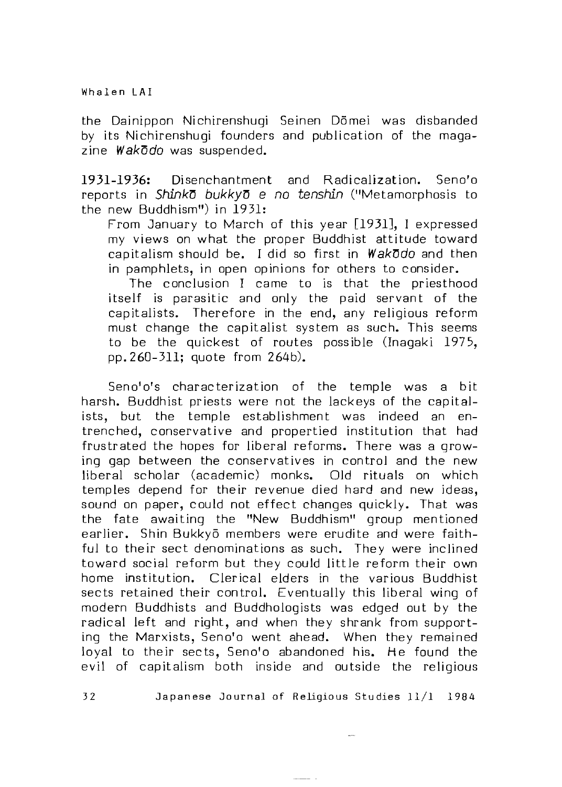the Dainippon Nichirenshugi Seinen Dömei was disbanded by its Nichirenshugi founders and publication of the magazine Wakodo was suspended.

1931-1936: Disenchantment and Radicalization. Seno'o reports in *ShinkD bukkyD e no tenshin* ("Metamorphosis to the new Buddhism") in 1931:

From January to March of this year [1931], I expressed my views on what the proper Buddhist attitude toward capitalism should be. I did so first in **Wakodo** and then in pamphlets, in open opinions for others to consider.

The conclusion I came to is that the priesthood itself is parasitic and only the paid servant of the capitalists. Therefore in the end, any religious reform must change the capitalist system as such. This seems to be the quickest of routes possible (Inagaki 1975, pp. 260-311; quote from 264b).

Seno'o's characterization of the temple was a bit harsh. Buddhist priests were not the lackeys of the capitalists, but the temple establishment was indeed an entrenched, conservative and propertied institution that had frustrated the hopes for liberal reforms. There was a growing gap between the conservatives in control and the new liberal scholar (academic) monks. Old rituals on which temples depend for their revenue died hard and new ideas, sound on paper, could not effect changes quickly. That was the fate awaiting the "New Buddhism" group mentioned earlier. Shin Bukkyō members were erudite and were faithful to their sect denominations as such. They were inclined toward social reform but they could little reform their own home institution. Clerical elders in the various Buddhist sects retained their control. Eventually this liberal wing of modern Buddhists and Buddhologists was edged out by the radical left and right, and when they shrank from supporting the Marxists, Seno'o went ahead. When they remained loyal to their sects, Seno'o abandoned his. He found the evil of capitalism both inside and outside the religious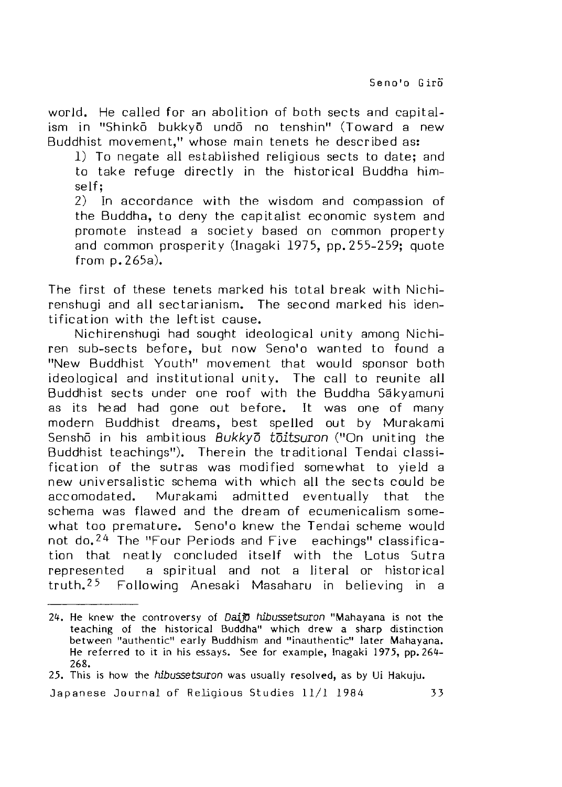world. He called for an abolition of both sects and capitalism in "Shinkō bukkyō undō no tenshin" (Toward a new Buddhist movement," whose main tenets he described as:

1) To negate all established religious sects to date: and to take refuge directly in the historical Buddha himself;

2) In accordance with the wisdom and compassion of the Buddha, to deny the capitalist economic system and promote instead a society based on common property and common prosperity (Inagaki 1975, pp. 255-259; quote from p. 265a).

The first of these tenets marked his total break with Nichirenshugi and all sectarianism. The second marked his identification with the leftist cause.

Nichirenshugi had sought ideological unity among Nichiren sub-sects before, but now Seno'o wanted to found a "New Buddhist Youth" movement that would sponsor both ideological and institutional unity. The call to reunite all Buddhist sects under one roof with the Buddha Sakyamuni as its he ad had gone out before. It was one of many modern Buddhist dreams, best spelled out by Murakami Sensho in his ambitious *Bukkyd toitsuron* ("On uniting the Buddhist teachings"). Therein the traditional Tendai classification of the sutras was modified somewhat to vield a new universalistic schema with which all the sects could be accomodated. Murakami admitted eventually that the schema was flawed and the dream of ecumenicalism somewhat too premature. Seno'o knew the Tendai scheme would not do.<sup>24</sup> The "Four Periods and Five eachings" classification that neatly concluded itself with the Lotus Sutra represented a spiritual and not a literal or historical truth.<sup>25</sup> Following Anesaki Masaharu in believing in a

<sup>2</sup> . He knew the controversy of *DaijD tubussetsuron* "Mahayana is not the teaching of the historical Buddha" which drew a sharp distinction between "authentic" early Buddhism and "inauthentic" later Mahayana. He referred to it in his essays. See for example, Inagaki 1975, pp. 264-268.

<sup>25.</sup> This is how the *tubussetsuron* was usually resolved, as by Ui Hakuju.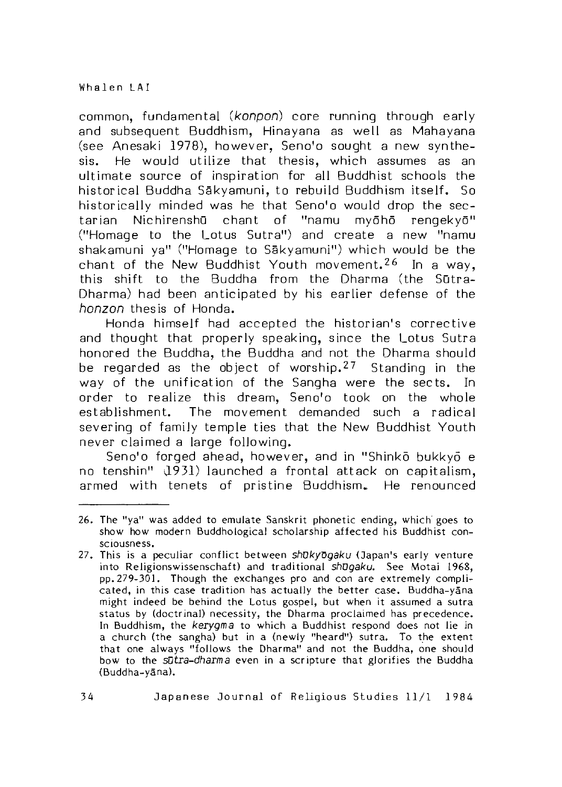common, fundamental *(konpon)* core running through early and subsequent Buddhism, Hinayana as well as Mahayana (see Anesaki 1978), how ever, Seno'o sought a new synthesis. He would utilize that thesis, which assumes as an ultim ate source of inspiration for all Buddhist schools the historical Buddha Sākyamuni, to rebuild Buddhism itself. So historically minded was he that Seno'o would drop the sectarian Nichirenshū chant of "namu myōhō rengekyō" ("Homage to the Lotus Sutra") and create a new "namu shakamuni ya" ("Homage to Sakyamuni") which would be the chant of the New Buddhist Youth movement.<sup>26</sup> In a way, this shift to the Buddha from the Dharma (the Sūtra-Dharma) had been anticipated by his earlier defense of the *honzon* thesis of Honda.

Honda himself had accepted the historian's corrective and thought that properly speaking, since the Lotus Sutra honored the Buddha, the Buddha and not the Dharma should be regarded as the object of worship. <sup>27</sup> Standing in the way of the unification of the Sangha were the sects. In order to realize this dream, 5enofo took on the whole establishment. The movement demanded such a radical severing of famiJy temple ties that the New Buddhist Youth never claim ed a large folJowing,

Seno'o forged ahead, however, and in "Shinko bukkyo e no tenshin"  $(1931)$  launched a frontal attack on capitalism, armed with tenets of pristine Buddhism. He renounced

<sup>26.</sup> The "ya" was added to emulate Sanskrit phonetic ending, which' goes to show how modern Buddhological scholarship affected his Buddhist consciousness,

<sup>27.</sup> This is a peculiar con flict between *shDkyDgaku* (Japan's early venture into Religionswissenschaft) and traditional *shDgdku,* See Motai 1968, pp. 279-301. Though the exchanges pro and con are extremely complicated, in this case tradition has actually the better case. Buddha-yana might indeed be behind the Lotus gospel, but when it assumed a sutra status by (doctrinal) necessity, the Dharma proclaimed has precedence. In Buddhism, the *kerygma* to which a Buddhist respond does not lie in a church (the sangha) but in a (newly "heard") sutra. To the extent that one always "follows the Dharma" and not the Buddha, one should bow to the *sutra-dharma* even in a scripture that gJorifies the Buddha (Buddha-yana).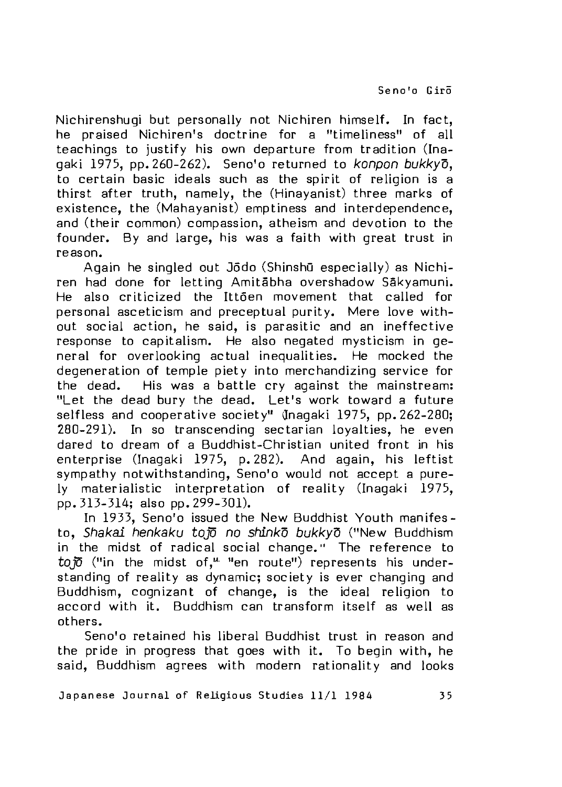Nichirenshugi but personally not Nichiren himself. In fact, he praised Nichiren's doctrine for a "timeliness" of all teachings to justify his own departure from tradition (Inagaki 1975, pp. 260-262). Seno'o returned to *konpon bukkyo,* to certain basic ideals such as the spirit of religion is a thirst after truth, namely, the (Hinayanist) three marks of existence, the (Mahayanist) emptiness and interdependence, and (their common) compassion, atheism and devotion to the founder. By and large, his was a faith with great trust in reason.

Again he singled out Jodo (Shinshu especially) as Nichiren had done for letting Amitābha overshadow Sākyamuni. He also criticized the Ittoen movement that called for personal asceticism and preceptual purity. Mere love without social action, he said, is parasitic and an ineffective response to capitalism. He also negated mysticism in general for overlooking actual inequalities. He mocked the degeneration of temple piety into merchandizing service for the dead. His was a battle cry against the mainstream: "Let the dead bury the dead. Let's work toward a future selfless and cooperative society" (Inagaki 1975, pp. 262-280; 280-291). In so transcending sectarian lovalties, he even dared to dream of a Buddhist-Christian united front in his enterprise (Inagaki 1975, p. 282). And again, his leftist sympathy notwithstanding, Seno'o would not accept a purely materialistic interpretation of reality (Inagaki 1975, pp. 313-314; also pp. 299-301).

In 1933, Seno'o issued the New Buddhist Youth manifesto. Shakai henkaku tojo no shinko bukkyo ("New Buddhism in the midst of radical social change." The reference to to $\overline{p}$  ("in the midst of," "en route") represents his understanding of reality as dynamic; society is ever changing and Buddhism, cognizant of change, is the ideal religion to accord with it. Buddhism can transform itself as well as others.

Seno'o retained his liberal Buddhist trust in reason and the pride in progress that goes with it. To begin with, he said, Buddhism agrees with modern rationality and looks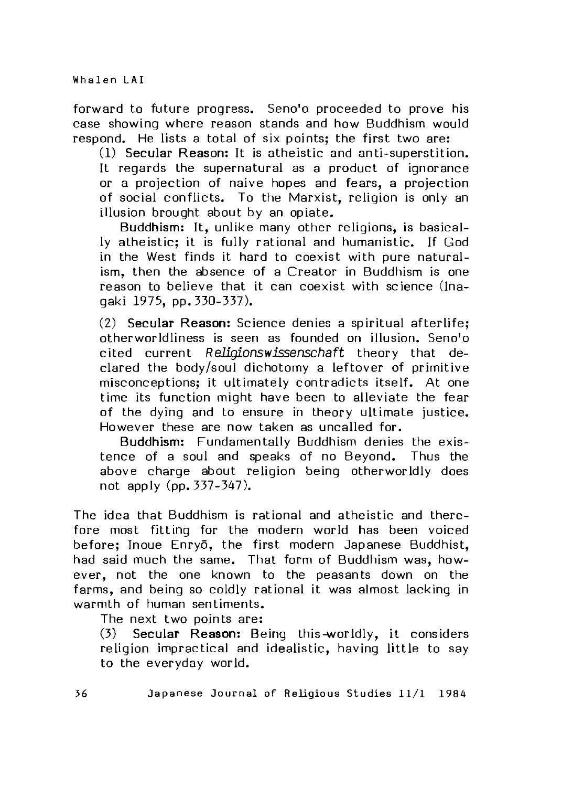forward to future progress. Seno'o proceeded to prove his case showing where reason stands and how Buddhism would respond. He lists a total of six points: the first two are:

(1) Secular Reason: It is atheistic and anti-superstition. It regards the supernatural as a product of ignorance or a projection of naive hopes and fears, a projection of social conflicts. To the Marxist, religion is only an illusion brought about by an opiate.

Buddhism: It, unlike many other religions, is basically atheistic; it is fully rational and humanistic. If God in the West finds it hard to coexist with pure naturalism, then the absence of a Creator in Buddhism is one reason to believe that it can coexist with science (Inagaki 1975, pp, 330-337).

(2) **Secular Reason:** Science denies a spiritual afterlife: o the rw o rld lin ess is seen as founded on illusion. Seno'o cited current *Religionswissenschaft* theory that declared the body/soul dichotomy a leftover of primitive misconceptions; it ultimately contradicts itself. At one time its function might have been to alleviate the fear of the dying and to ensure in theory ultimate justice. However these are now taken as uncalled for.

Buddhism: Fundamentally Buddhism denies the existence of a soul and speaks of no Beyond. Thus the above charge about religion being otherworldly does not apply (pp. 337-347).

The idea that Buddhism is rational and atheistic and therefore most fitting for the modern world has been voiced before; Inoue Enryō, the first modern Japanese Buddhist, had said much the same. That form of Buddhism was, however, not the one known to the peasants down on the farms, and being so coldly rational it was almost lacking in warmth of human sentiments.

The next two points are:

(3) **Secular Reason:** Being this-worldly, it considers religion impractical and idealistic, having little to say to the everyday world.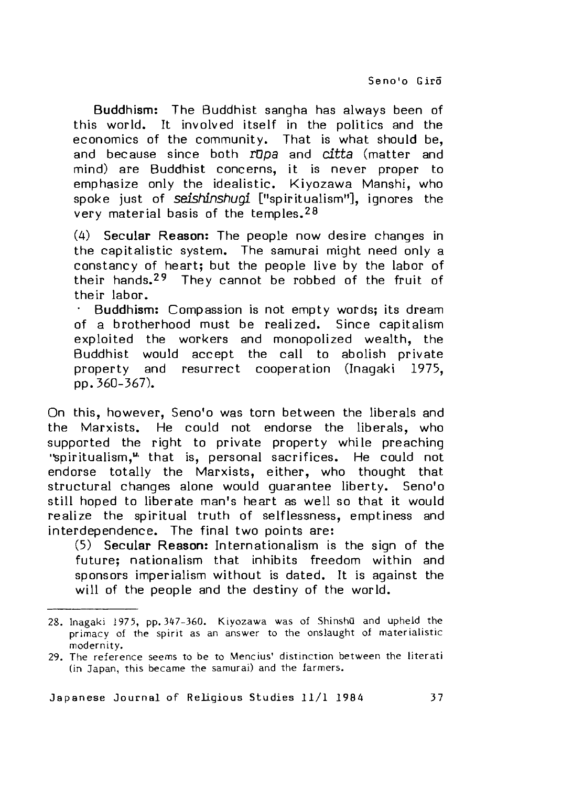Buddhism: The Buddhist sangha has always been of this world. It involved itself in the politics and the economics of the community. That is what should be, and because since both *rDpa* and *citta* (matter and mind) are Buddhist concerns, it is never proper to emphasize only the idealistic. Kiyozawa Manshi, who spoke just of *seishinshugi* ["spiritualism"], ignores the very material basis of the temples.<sup>28</sup>

(4) **Secular Reason:** The people now desire changes in the capitalistic system. The samurai might need only a constancy of heart; but the people live by the labor of their hands.<sup>29</sup> They cannot be robbed of the fruit of their labor.

• Buddhism: Compassion is not empty words; its dream of a brotherhood must be realized. Since capitalism exploited the workers and monopolized wealth, the Buddhist would accept the call to abolish private property and resurrect cooperation (Inagaki 1975, pp. 360-367).

On this, however, Seno'o was torn between the liberals and the Marxists. He could not endorse the liberals, who supported the right to private property while preaching "spiritualism," that is, personal sacrifices. He could not endorse totally the Marxists, either, who thought that structural changes alone would guarantee liberty. Seno'o still hoped to liberate man's heart as well so that it would realize the spiritual truth of selflessness, emptiness and interdependence. The final two points are:

(5) **Secular Reason:** In ternatio nalism is the sign of the future; nationalism that inhibits freedom within and sponsors imperialism without is dated. It is against the will of the people and the destiny of the world.

<sup>28.</sup> Inagaki 1975, pp. 347-360. Kiyozawa was of Shinshū and upheld the primacy of the spirit as an answer to the onslaught of materialistic modernity.

<sup>29.</sup> The reference seems to be to Mencius' distinction between the literati (in Japan, this became the samurai) and the farmers.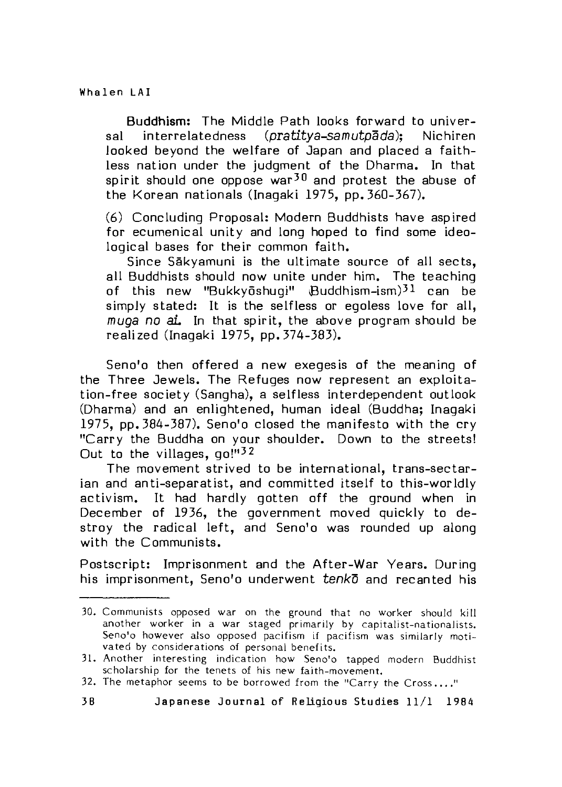Buddhism: The Middle Path looks forward to universal interrelatedness (*pratitya-samutpada*): Nichiren looked beyond the welfare of Japan and placed a faithless nation under the judgment of the Dharma. In that spirit should one oppose war<sup>30</sup> and protest the abuse of the Korean nationals (Inagaki 1975, pp. 360-367).

(6) Concluding Proposal: Modern Buddhists have aspired for ecumenical unity and long hoped to find some ideological bases for their common faith.

Since Sākyamuni is the ultimate source of all sects, all Buddhists should now unite under him. The teaching of this new "Bukkyōshugi"  $B$ uddhism-ism) $31$  can be simply stated: It is the selfless or egoless love for all. *muga no al.* In that spirit, the above program should be realized (Inagaki 1975, pp. 374-383).

Seno'o then offered a new exegesis of the meaning of the Three Jewels. The Refuges now represent an exploitation-free society (Sangha), a selfless interdependent outlook (Dharma) and an enlightened, human ideal (Buddha; Inagaki 1975, pp. 384-387). Seno'o closed the manifesto with the cry "Carry the Buddha on your shoulder. Down to the streets! Out to the villages,  $q_0!$ <sup> $132$ </sup>

The movement strived to be international, trans-sectarian and anti-separatist, and committed itself to this-worldly activism. It had hardly gotten off the ground when in December of 1936, the government moved quickly to destroy the radical left, and Seno'o was rounded up along with the Communists.

Postscript: Imprisonment and the After-War Years. During his imprisonment, Seno'o underwent *tenkd* and recan ted his

<sup>30.</sup> Communists opposed war on the ground that no worker should kill another worker in a war staged primarily by capitalist-nationalists. Seno'o however also opposed pacifism if pacifism was similarly motivated by considerations of personal benefits.

<sup>31.</sup> Another interesting indication how Seno'o tapped modern Buddhist scholarship for the tenets of his new faith-movement.

<sup>32.</sup> The metaphor seems to be borrowed from the "Carry the Cross...."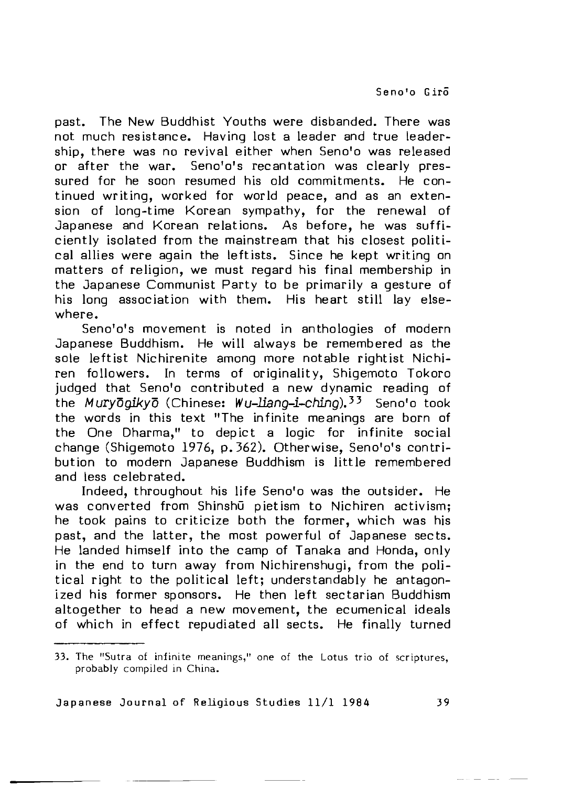past. The New Buddhist Youths were disbanded. There was not much resistance. Having lost a leader and true leadership, there was no revival either when Seno'o was released or after the war. Seno'o's recantation was clearly pressured for he soon resumed his old commitments. He continued writing, worked for world peace, and as an extension of long-time Korean sympathy, for the renewal of Japanese and Korean relations. As before, he was sufficiently isolated from the mainstream that his closest political allies were again the leftists. Since he kept writing on matters of religion, we must regard his final membership in the Japanese Communist Party to be primarily a gesture of his long association with them. His heart still lay elsewhere.

Seno'o's movement is noted in anthologies of modern Japanese Buddhism. He will always be remembered as the sole leftist Nichirenite among more notable rightist Nichiren followers. In terms of originality, Shigemoto Tokoro judged that Seno'o contributed a new dynamic reading of the *Muryoqikyo* (Chinese: Wu-liang-i-ching).<sup>33</sup> Seno'o took the words in this text "The infinite meanings are born of the One Dharma," to depict a logic for infinite social change (Shigemoto 1976, p. 362). Otherwise, Seno'o's contribution to modern Japanese Buddhism is little remembered and less celebrated.

Indeed, throughout his life Seno'o was the outsider. He was converted from Shinshū pietism to Nichiren activism; he took pains to criticize both the former, which was his past, and the latter, the most powerful of Japanese sects. He landed himself into the camp of Tanaka and Honda, only in the end to turn away from Nichirenshugi, from the political right to the political left; understandably he antagonized his former sponsors. He then left sectarian Buddhism altogether to head a new movement, the ecumenical ideals of which in effect repudiated all sects. He finally turned

<sup>33.</sup> The "Sutra of infinite meanings," one of the Lotus trio of scriptures. probably compiled in China.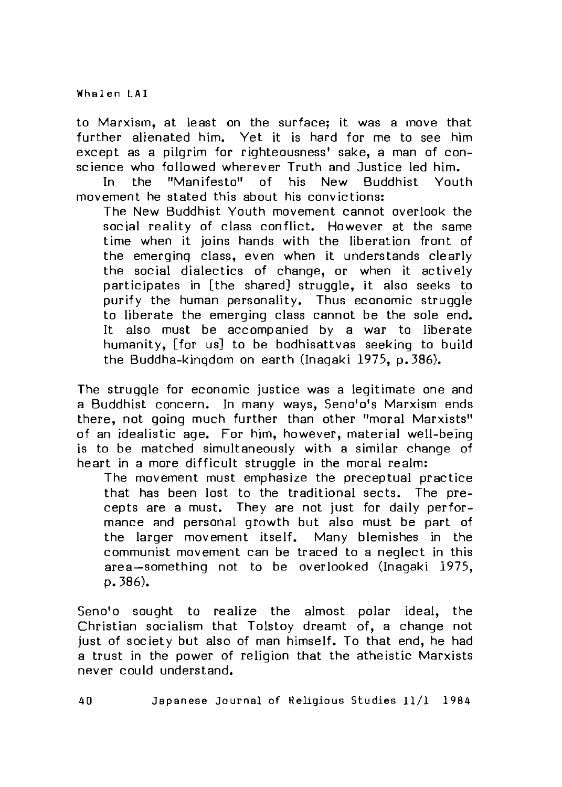to Marxism, at least on the surface; it was a move that further alienated him. Yet it is hard for me to see him except as a pilgrim for righteousness' sake, a man of conscience who followed wherever Truth and Justice led him.<br>In the "Manifesto" of his New Buddhist Yout

In the "Manifesto" of his New Buddhist Youth movement he stated this about his convictions:

The New Buddhist Youth movement cannot overlook the social reality of class conflict. However at the same time when it joins hands with the liberation front of the emerging class, even when it understands clearly the social dialectics of change, or when it actively participates in [the shared] struggle, it also seeks to purify the human personality. Thus economic struggle to liberate the emerging class cannot be the sole end. It also must be accompanied by a war to liberate humanity, ifor usl to be bodhisattyas seeking to build the Buddha-kingdom on earth (Inagaki 1975, p. 386).

The struggle for economic justice was a legitimate one and a Buddhist concern. In many ways, Seno'o's Marxism ends there, not going much further than other "moral Marxists" of an idealistic age. For him, however, material well-being is to be matched simultaneously with a similar change of heart in a more difficult struggle in the moral realm:

The movement must emphasize the preceptual practice that has been lost to the traditional sects. The precepts are a must. They are not just for daily performance and personal growth but also must be part of the larger movement itself. Many blemishes in the communist movement can be traced to a neglect in this area-something not to be overlooked (Inagaki 1975, p,386).

Seno'o sought to realize the almost polar ideal, the Christian socialism that Tolstoy dreamt of, a change not just of society but also of man himself. To that end, he had a trust in the power of religion that the atheistic Marxists never could understand.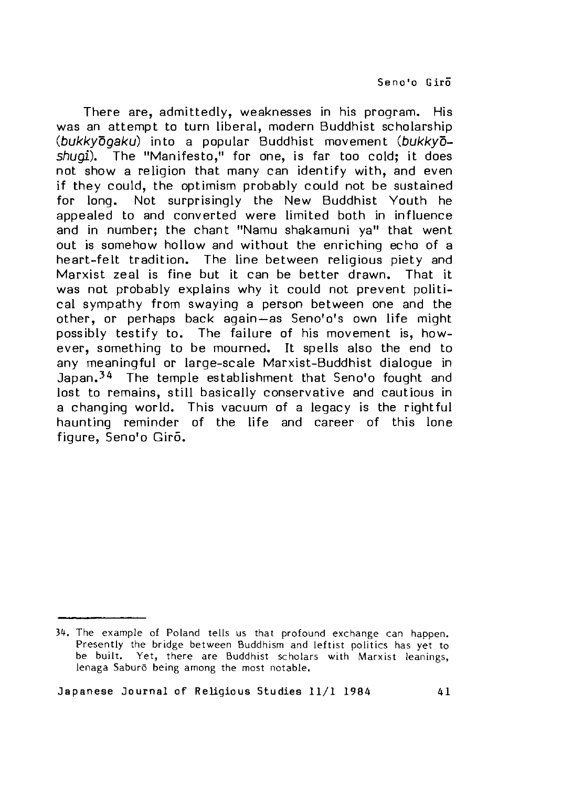There are, admittedly, weaknesses in his program. His was an attempt to turn liberal, modern Buddhist scholarship *(bukkydgaku)* into a popular Buddhist movement *(bukkyoshugi\* The "M anifesto," for one, is far too cold; it does not show a religion that many can identify with, and even if they could, the optimism probably could not be sustained for long. Not surprisingly the New Buddhist Youth he appealed to and converted were limited both in influence and in number; the chant "Namu shakamuni ya" that went out is somehow hollow and without the enriching echo of a he art-felt tradition. The line between religious piety and Marxist zeal is fine but it can be better drawn. That it was not probably explains why it could not prevent political sympathy from swaying a person between one and the other, or perhaps back again-as Seno'o's own life might possibly testify to. The failure of his movement is, however, something to be mourned. It spells also the end to any meaningful or large-scale Marxist-Buddhist dialogue in Japan.<sup>34</sup> The temple establishment that Seno'o fought and lost to remains, still basically conservative and cautious in a changing world. This vacuum of a legacy is the rightful haunting reminder of the life and career of this lone figure, Seno'o Giro.

<sup>34.</sup> The example of Poland tells us that profound exchange can happen. Presently the bridge between Buddhism and leftist politics has yet to be built. Yet, there are Buddhist scholars with Marxist leanings, lenaga Saburo being among the most notable.